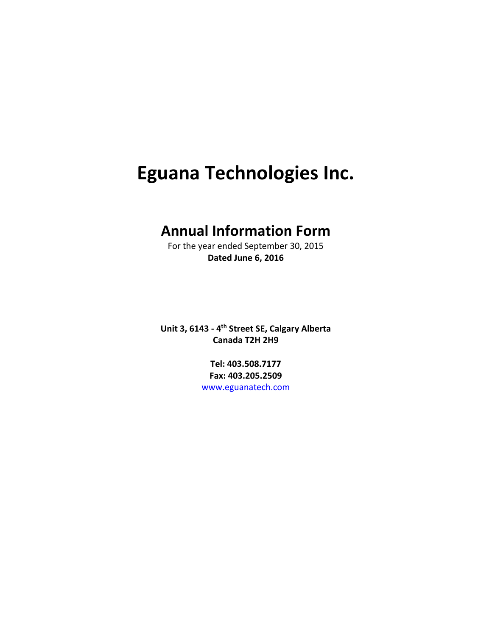# **Eguana Technologies Inc.**

## **Annual Information Form**

For the year ended September 30, 2015 **Dated June 6, 2016**

**Unit 3, 6143 ‐ 4th Street SE, Calgary Alberta Canada T2H 2H9**

> **Tel: 403.508.7177 Fax: 403.205.2509** www.eguanatech.com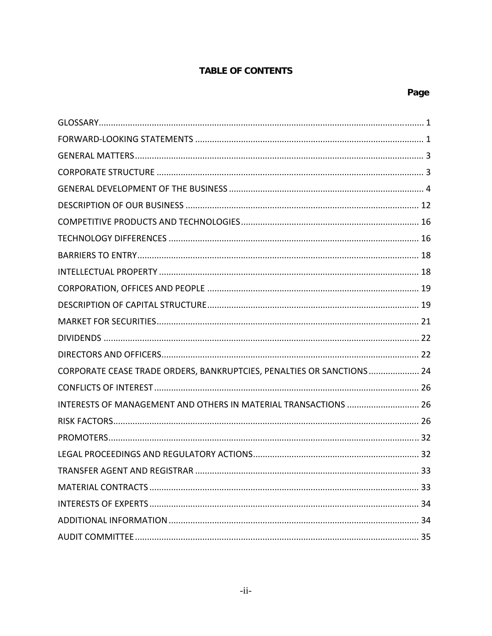## **TABLE OF CONTENTS**

| CORPORATE CEASE TRADE ORDERS, BANKRUPTCIES, PENALTIES OR SANCTIONS  24 |
|------------------------------------------------------------------------|
|                                                                        |
| INTERESTS OF MANAGEMENT AND OTHERS IN MATERIAL TRANSACTIONS  26        |
|                                                                        |
|                                                                        |
|                                                                        |
|                                                                        |
|                                                                        |
|                                                                        |
|                                                                        |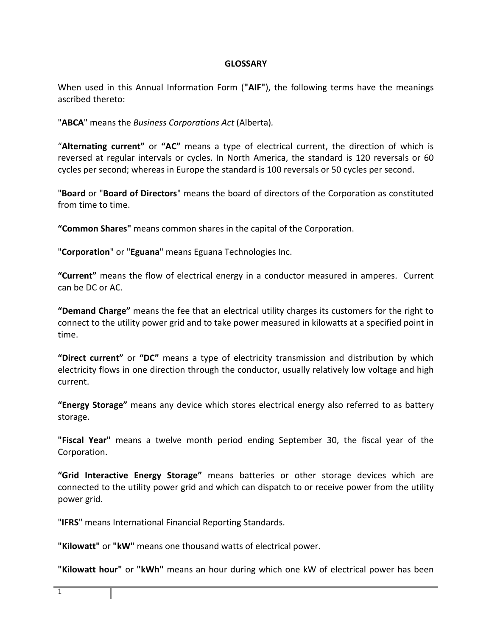## **GLOSSARY**

When used in this Annual Information Form (**"AIF"**), the following terms have the meanings ascribed thereto:

"**ABCA**" means the *Business Corporations Act* (Alberta)*.*

"**Alternating current"** or **"AC"** means a type of electrical current, the direction of which is reversed at regular intervals or cycles. In North America, the standard is 120 reversals or 60 cycles per second; whereas in Europe the standard is 100 reversals or 50 cycles per second.

"**Board** or "**Board of Directors**" means the board of directors of the Corporation as constituted from time to time.

**"Common Shares"** means common shares in the capital of the Corporation.

"**Corporation**" or "**Eguana**" means Eguana Technologies Inc.

**"Current"** means the flow of electrical energy in a conductor measured in amperes. Current can be DC or AC.

**"Demand Charge"** means the fee that an electrical utility charges its customers for the right to connect to the utility power grid and to take power measured in kilowatts at a specified point in time.

**"Direct current"** or **"DC"** means a type of electricity transmission and distribution by which electricity flows in one direction through the conductor, usually relatively low voltage and high current.

**"Energy Storage"** means any device which stores electrical energy also referred to as battery storage.

**"Fiscal Year"** means a twelve month period ending September 30, the fiscal year of the Corporation.

**"Grid Interactive Energy Storage"** means batteries or other storage devices which are connected to the utility power grid and which can dispatch to or receive power from the utility power grid.

"**IFRS**" means International Financial Reporting Standards.

**"Kilowatt"** or **"kW"** means one thousand watts of electrical power.

**"Kilowatt hour"** or **"kWh"** means an hour during which one kW of electrical power has been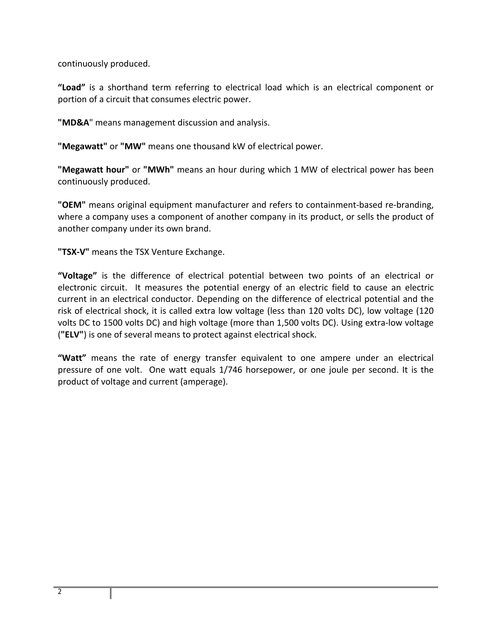continuously produced.

**"Load"** is a shorthand term referring to electrical load which is an electrical component or portion of a circuit that consumes electric power.

**"MD&A**" means management discussion and analysis.

**"Megawatt"** or **"MW"** means one thousand kW of electrical power.

**"Megawatt hour"** or **"MWh"** means an hour during which 1 MW of electrical power has been continuously produced.

**"OEM"** means original equipment manufacturer and refers to containment‐based re‐branding, where a company uses a component of another company in its product, or sells the product of another company under its own brand.

**"TSX‐V"** means the TSX Venture Exchange.

**"Voltage"** is the difference of electrical potential between two points of an electrical or electronic circuit. It measures the potential energy of an electric field to cause an electric current in an electrical conductor. Depending on the difference of electrical potential and the risk of electrical shock, it is called extra low voltage (less than 120 volts DC), low voltage (120 volts DC to 1500 volts DC) and high voltage (more than 1,500 volts DC). Using extra‐low voltage (**"ELV"**) is one of several means to protect against electrical shock.

**"Watt"** means the rate of energy transfer equivalent to one ampere under an electrical pressure of one volt. One watt equals 1/746 horsepower, or one joule per second. It is the product of voltage and current (amperage).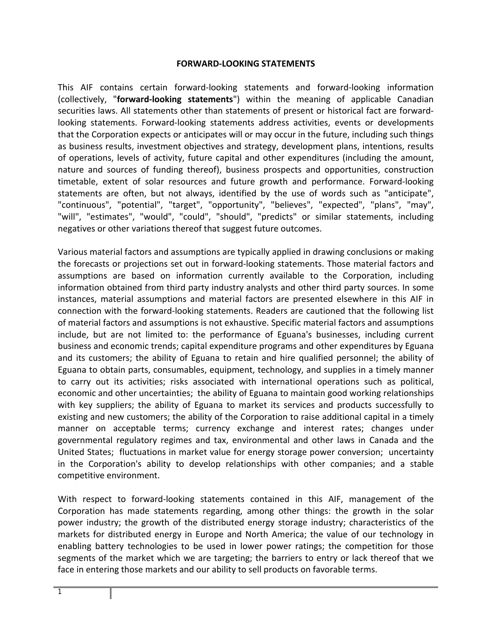#### **FORWARD‐LOOKING STATEMENTS**

This AIF contains certain forward‐looking statements and forward‐looking information (collectively, "**forward‐looking statements**") within the meaning of applicable Canadian securities laws. All statements other than statements of present or historical fact are forward‐ looking statements. Forward‐looking statements address activities, events or developments that the Corporation expects or anticipates will or may occur in the future, including such things as business results, investment objectives and strategy, development plans, intentions, results of operations, levels of activity, future capital and other expenditures (including the amount, nature and sources of funding thereof), business prospects and opportunities, construction timetable, extent of solar resources and future growth and performance. Forward‐looking statements are often, but not always, identified by the use of words such as "anticipate", "continuous", "potential", "target", "opportunity", "believes", "expected", "plans", "may", "will", "estimates", "would", "could", "should", "predicts" or similar statements, including negatives or other variations thereof that suggest future outcomes.

Various material factors and assumptions are typically applied in drawing conclusions or making the forecasts or projections set out in forward‐looking statements. Those material factors and assumptions are based on information currently available to the Corporation, including information obtained from third party industry analysts and other third party sources. In some instances, material assumptions and material factors are presented elsewhere in this AIF in connection with the forward‐looking statements. Readers are cautioned that the following list of material factors and assumptions is not exhaustive. Specific material factors and assumptions include, but are not limited to: the performance of Eguana's businesses, including current business and economic trends; capital expenditure programs and other expenditures by Eguana and its customers; the ability of Eguana to retain and hire qualified personnel; the ability of Eguana to obtain parts, consumables, equipment, technology, and supplies in a timely manner to carry out its activities; risks associated with international operations such as political, economic and other uncertainties; the ability of Eguana to maintain good working relationships with key suppliers; the ability of Eguana to market its services and products successfully to existing and new customers; the ability of the Corporation to raise additional capital in a timely manner on acceptable terms; currency exchange and interest rates; changes under governmental regulatory regimes and tax, environmental and other laws in Canada and the United States; fluctuations in market value for energy storage power conversion; uncertainty in the Corporation's ability to develop relationships with other companies; and a stable competitive environment.

With respect to forward-looking statements contained in this AIF, management of the Corporation has made statements regarding, among other things: the growth in the solar power industry; the growth of the distributed energy storage industry; characteristics of the markets for distributed energy in Europe and North America; the value of our technology in enabling battery technologies to be used in lower power ratings; the competition for those segments of the market which we are targeting; the barriers to entry or lack thereof that we face in entering those markets and our ability to sell products on favorable terms.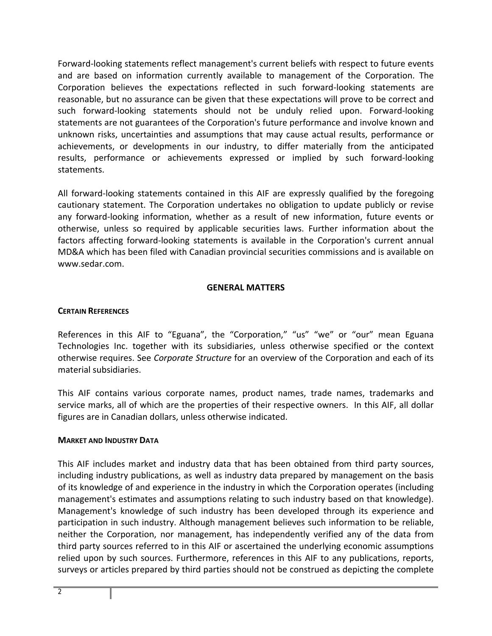Forward‐looking statements reflect management's current beliefs with respect to future events and are based on information currently available to management of the Corporation. The Corporation believes the expectations reflected in such forward‐looking statements are reasonable, but no assurance can be given that these expectations will prove to be correct and such forward‐looking statements should not be unduly relied upon. Forward‐looking statements are not guarantees of the Corporation's future performance and involve known and unknown risks, uncertainties and assumptions that may cause actual results, performance or achievements, or developments in our industry, to differ materially from the anticipated results, performance or achievements expressed or implied by such forward‐looking statements.

All forward‐looking statements contained in this AIF are expressly qualified by the foregoing cautionary statement. The Corporation undertakes no obligation to update publicly or revise any forward‐looking information, whether as a result of new information, future events or otherwise, unless so required by applicable securities laws. Further information about the factors affecting forward-looking statements is available in the Corporation's current annual MD&A which has been filed with Canadian provincial securities commissions and is available on www.sedar.com.

## **GENERAL MATTERS**

## **CERTAIN REFERENCES**

References in this AIF to "Eguana", the "Corporation," "us" "we" or "our" mean Eguana Technologies Inc. together with its subsidiaries, unless otherwise specified or the context otherwise requires. See *Corporate Structure* for an overview of the Corporation and each of its material subsidiaries.

This AIF contains various corporate names, product names, trade names, trademarks and service marks, all of which are the properties of their respective owners. In this AIF, all dollar figures are in Canadian dollars, unless otherwise indicated.

## **MARKET AND INDUSTRY DATA**

This AIF includes market and industry data that has been obtained from third party sources, including industry publications, as well as industry data prepared by management on the basis of its knowledge of and experience in the industry in which the Corporation operates (including management's estimates and assumptions relating to such industry based on that knowledge). Management's knowledge of such industry has been developed through its experience and participation in such industry. Although management believes such information to be reliable, neither the Corporation, nor management, has independently verified any of the data from third party sources referred to in this AIF or ascertained the underlying economic assumptions relied upon by such sources. Furthermore, references in this AIF to any publications, reports, surveys or articles prepared by third parties should not be construed as depicting the complete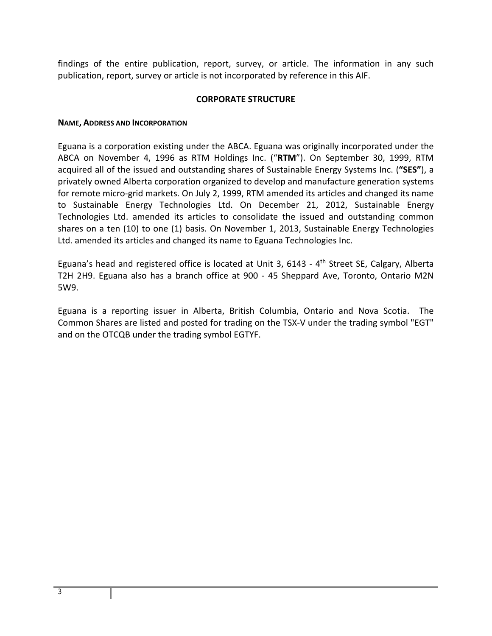findings of the entire publication, report, survey, or article. The information in any such publication, report, survey or article is not incorporated by reference in this AIF.

## **CORPORATE STRUCTURE**

#### **NAME, ADDRESS AND INCORPORATION**

Eguana is a corporation existing under the ABCA. Eguana was originally incorporated under the ABCA on November 4, 1996 as RTM Holdings Inc. ("**RTM**"). On September 30, 1999, RTM acquired all of the issued and outstanding shares of Sustainable Energy Systems Inc. (**"SES"**), a privately owned Alberta corporation organized to develop and manufacture generation systems for remote micro-grid markets. On July 2, 1999, RTM amended its articles and changed its name to Sustainable Energy Technologies Ltd. On December 21, 2012, Sustainable Energy Technologies Ltd. amended its articles to consolidate the issued and outstanding common shares on a ten (10) to one (1) basis. On November 1, 2013, Sustainable Energy Technologies Ltd. amended its articles and changed its name to Eguana Technologies Inc.

Eguana's head and registered office is located at Unit 3, 6143 - 4<sup>th</sup> Street SE, Calgary, Alberta T2H 2H9. Eguana also has a branch office at 900 - 45 Sheppard Ave, Toronto, Ontario M2N 5W9.

Eguana is a reporting issuer in Alberta, British Columbia, Ontario and Nova Scotia. The Common Shares are listed and posted for trading on the TSX‐V under the trading symbol "EGT" and on the OTCQB under the trading symbol EGTYF.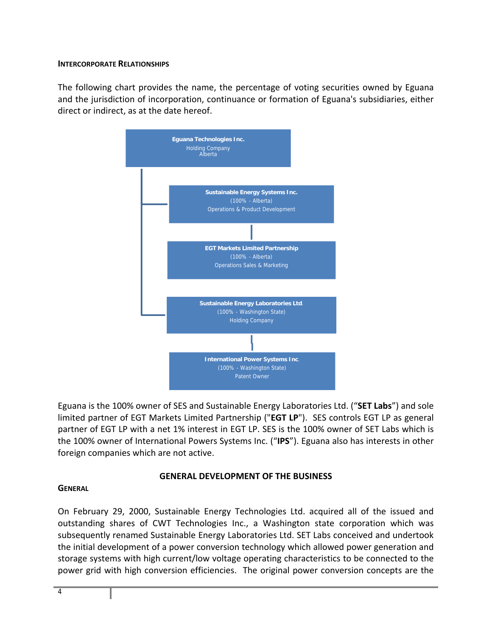## **INTERCORPORATE RELATIONSHIPS**

The following chart provides the name, the percentage of voting securities owned by Eguana and the jurisdiction of incorporation, continuance or formation of Eguana's subsidiaries, either direct or indirect, as at the date hereof.



Eguana is the 100% owner of SES and Sustainable Energy Laboratories Ltd. ("**SET Labs**") and sole limited partner of EGT Markets Limited Partnership ("**EGT LP**"). SES controls EGT LP as general partner of EGT LP with a net 1% interest in EGT LP. SES is the 100% owner of SET Labs which is the 100% owner of International Powers Systems Inc. ("**IPS**"). Eguana also has interests in other foreign companies which are not active.

## **GENERAL DEVELOPMENT OF THE BUSINESS**

## **GENERAL**

On February 29, 2000, Sustainable Energy Technologies Ltd. acquired all of the issued and outstanding shares of CWT Technologies Inc., a Washington state corporation which was subsequently renamed Sustainable Energy Laboratories Ltd. SET Labs conceived and undertook the initial development of a power conversion technology which allowed power generation and storage systems with high current/low voltage operating characteristics to be connected to the power grid with high conversion efficiencies. The original power conversion concepts are the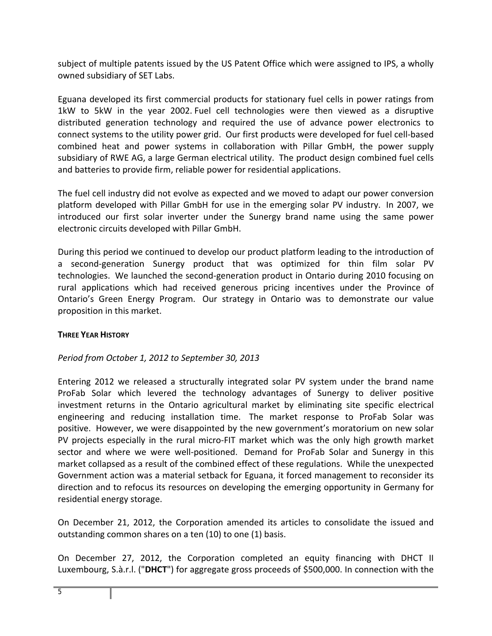subject of multiple patents issued by the US Patent Office which were assigned to IPS, a wholly owned subsidiary of SET Labs.

Eguana developed its first commercial products for stationary fuel cells in power ratings from 1kW to 5kW in the year 2002. Fuel cell technologies were then viewed as a disruptive distributed generation technology and required the use of advance power electronics to connect systems to the utility power grid. Our first products were developed for fuel cell‐based combined heat and power systems in collaboration with Pillar GmbH, the power supply subsidiary of RWE AG, a large German electrical utility. The product design combined fuel cells and batteries to provide firm, reliable power for residential applications.

The fuel cell industry did not evolve as expected and we moved to adapt our power conversion platform developed with Pillar GmbH for use in the emerging solar PV industry. In 2007, we introduced our first solar inverter under the Sunergy brand name using the same power electronic circuits developed with Pillar GmbH.

During this period we continued to develop our product platform leading to the introduction of a second-generation Sunergy product that was optimized for thin film solar PV technologies. We launched the second‐generation product in Ontario during 2010 focusing on rural applications which had received generous pricing incentives under the Province of Ontario's Green Energy Program. Our strategy in Ontario was to demonstrate our value proposition in this market.

## **THREE YEAR HISTORY**

## *Period from October 1, 2012 to September 30, 2013*

Entering 2012 we released a structurally integrated solar PV system under the brand name ProFab Solar which levered the technology advantages of Sunergy to deliver positive investment returns in the Ontario agricultural market by eliminating site specific electrical engineering and reducing installation time. The market response to ProFab Solar was positive. However, we were disappointed by the new government's moratorium on new solar PV projects especially in the rural micro‐FIT market which was the only high growth market sector and where we were well-positioned. Demand for ProFab Solar and Sunergy in this market collapsed as a result of the combined effect of these regulations. While the unexpected Government action was a material setback for Eguana, it forced management to reconsider its direction and to refocus its resources on developing the emerging opportunity in Germany for residential energy storage.

On December 21, 2012, the Corporation amended its articles to consolidate the issued and outstanding common shares on a ten (10) to one (1) basis.

On December 27, 2012, the Corporation completed an equity financing with DHCT II Luxembourg, S.à.r.l. ("**DHCT**") for aggregate gross proceeds of \$500,000. In connection with the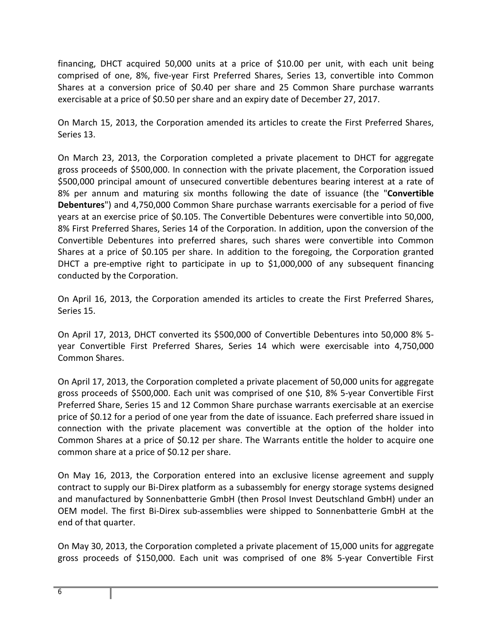financing, DHCT acquired 50,000 units at a price of \$10.00 per unit, with each unit being comprised of one, 8%, five‐year First Preferred Shares, Series 13, convertible into Common Shares at a conversion price of \$0.40 per share and 25 Common Share purchase warrants exercisable at a price of \$0.50 per share and an expiry date of December 27, 2017.

On March 15, 2013, the Corporation amended its articles to create the First Preferred Shares, Series 13.

On March 23, 2013, the Corporation completed a private placement to DHCT for aggregate gross proceeds of \$500,000. In connection with the private placement, the Corporation issued \$500,000 principal amount of unsecured convertible debentures bearing interest at a rate of 8% per annum and maturing six months following the date of issuance (the "**Convertible Debentures**") and 4,750,000 Common Share purchase warrants exercisable for a period of five years at an exercise price of \$0.105. The Convertible Debentures were convertible into 50,000, 8% First Preferred Shares, Series 14 of the Corporation. In addition, upon the conversion of the Convertible Debentures into preferred shares, such shares were convertible into Common Shares at a price of \$0.105 per share. In addition to the foregoing, the Corporation granted DHCT a pre-emptive right to participate in up to \$1,000,000 of any subsequent financing conducted by the Corporation.

On April 16, 2013, the Corporation amended its articles to create the First Preferred Shares, Series 15.

On April 17, 2013, DHCT converted its \$500,000 of Convertible Debentures into 50,000 8% 5‐ year Convertible First Preferred Shares, Series 14 which were exercisable into 4,750,000 Common Shares.

On April 17, 2013, the Corporation completed a private placement of 50,000 units for aggregate gross proceeds of \$500,000. Each unit was comprised of one \$10, 8% 5‐year Convertible First Preferred Share, Series 15 and 12 Common Share purchase warrants exercisable at an exercise price of \$0.12 for a period of one year from the date of issuance. Each preferred share issued in connection with the private placement was convertible at the option of the holder into Common Shares at a price of \$0.12 per share. The Warrants entitle the holder to acquire one common share at a price of \$0.12 per share.

On May 16, 2013, the Corporation entered into an exclusive license agreement and supply contract to supply our Bi‐Direx platform as a subassembly for energy storage systems designed and manufactured by Sonnenbatterie GmbH (then Prosol Invest Deutschland GmbH) under an OEM model. The first Bi‐Direx sub‐assemblies were shipped to Sonnenbatterie GmbH at the end of that quarter.

On May 30, 2013, the Corporation completed a private placement of 15,000 units for aggregate gross proceeds of \$150,000. Each unit was comprised of one 8% 5‐year Convertible First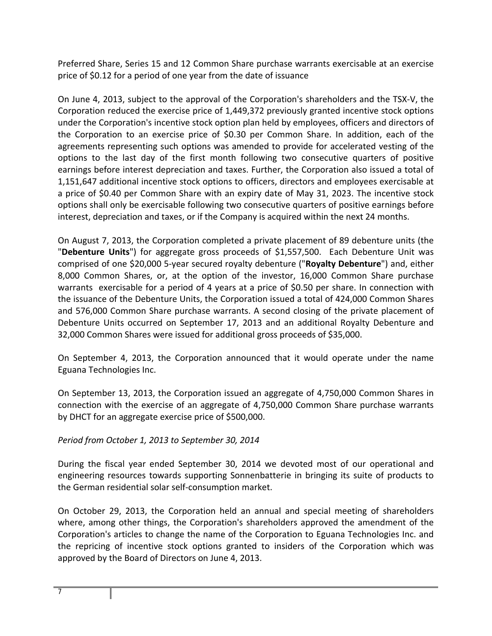Preferred Share, Series 15 and 12 Common Share purchase warrants exercisable at an exercise price of \$0.12 for a period of one year from the date of issuance

On June 4, 2013, subject to the approval of the Corporation's shareholders and the TSX‐V, the Corporation reduced the exercise price of 1,449,372 previously granted incentive stock options under the Corporation's incentive stock option plan held by employees, officers and directors of the Corporation to an exercise price of \$0.30 per Common Share. In addition, each of the agreements representing such options was amended to provide for accelerated vesting of the options to the last day of the first month following two consecutive quarters of positive earnings before interest depreciation and taxes. Further, the Corporation also issued a total of 1,151,647 additional incentive stock options to officers, directors and employees exercisable at a price of \$0.40 per Common Share with an expiry date of May 31, 2023. The incentive stock options shall only be exercisable following two consecutive quarters of positive earnings before interest, depreciation and taxes, or if the Company is acquired within the next 24 months.

On August 7, 2013, the Corporation completed a private placement of 89 debenture units (the "**Debenture Units**") for aggregate gross proceeds of \$1,557,500. Each Debenture Unit was comprised of one \$20,000 5‐year secured royalty debenture ("**Royalty Debenture**") and, either 8,000 Common Shares, or, at the option of the investor, 16,000 Common Share purchase warrants exercisable for a period of 4 years at a price of \$0.50 per share. In connection with the issuance of the Debenture Units, the Corporation issued a total of 424,000 Common Shares and 576,000 Common Share purchase warrants. A second closing of the private placement of Debenture Units occurred on September 17, 2013 and an additional Royalty Debenture and 32,000 Common Shares were issued for additional gross proceeds of \$35,000.

On September 4, 2013, the Corporation announced that it would operate under the name Eguana Technologies Inc.

On September 13, 2013, the Corporation issued an aggregate of 4,750,000 Common Shares in connection with the exercise of an aggregate of 4,750,000 Common Share purchase warrants by DHCT for an aggregate exercise price of \$500,000.

## *Period from October 1, 2013 to September 30, 2014*

During the fiscal year ended September 30, 2014 we devoted most of our operational and engineering resources towards supporting Sonnenbatterie in bringing its suite of products to the German residential solar self‐consumption market.

On October 29, 2013, the Corporation held an annual and special meeting of shareholders where, among other things, the Corporation's shareholders approved the amendment of the Corporation's articles to change the name of the Corporation to Eguana Technologies Inc. and the repricing of incentive stock options granted to insiders of the Corporation which was approved by the Board of Directors on June 4, 2013.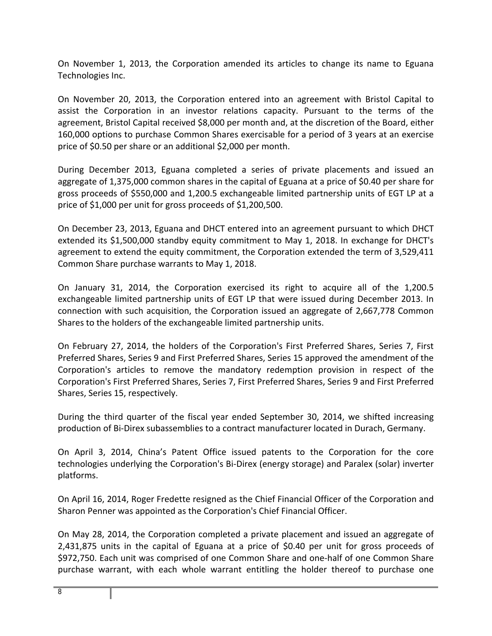On November 1, 2013, the Corporation amended its articles to change its name to Eguana Technologies Inc.

On November 20, 2013, the Corporation entered into an agreement with Bristol Capital to assist the Corporation in an investor relations capacity. Pursuant to the terms of the agreement, Bristol Capital received \$8,000 per month and, at the discretion of the Board, either 160,000 options to purchase Common Shares exercisable for a period of 3 years at an exercise price of \$0.50 per share or an additional \$2,000 per month.

During December 2013, Eguana completed a series of private placements and issued an aggregate of 1,375,000 common shares in the capital of Eguana at a price of \$0.40 per share for gross proceeds of \$550,000 and 1,200.5 exchangeable limited partnership units of EGT LP at a price of \$1,000 per unit for gross proceeds of \$1,200,500.

On December 23, 2013, Eguana and DHCT entered into an agreement pursuant to which DHCT extended its \$1,500,000 standby equity commitment to May 1, 2018. In exchange for DHCT's agreement to extend the equity commitment, the Corporation extended the term of 3,529,411 Common Share purchase warrants to May 1, 2018.

On January 31, 2014, the Corporation exercised its right to acquire all of the 1,200.5 exchangeable limited partnership units of EGT LP that were issued during December 2013. In connection with such acquisition, the Corporation issued an aggregate of 2,667,778 Common Shares to the holders of the exchangeable limited partnership units.

On February 27, 2014, the holders of the Corporation's First Preferred Shares, Series 7, First Preferred Shares, Series 9 and First Preferred Shares, Series 15 approved the amendment of the Corporation's articles to remove the mandatory redemption provision in respect of the Corporation's First Preferred Shares, Series 7, First Preferred Shares, Series 9 and First Preferred Shares, Series 15, respectively.

During the third quarter of the fiscal year ended September 30, 2014, we shifted increasing production of Bi‐Direx subassemblies to a contract manufacturer located in Durach, Germany.

On April 3, 2014, China's Patent Office issued patents to the Corporation for the core technologies underlying the Corporation's Bi‐Direx (energy storage) and Paralex (solar) inverter platforms.

On April 16, 2014, Roger Fredette resigned as the Chief Financial Officer of the Corporation and Sharon Penner was appointed as the Corporation's Chief Financial Officer.

On May 28, 2014, the Corporation completed a private placement and issued an aggregate of 2,431,875 units in the capital of Eguana at a price of \$0.40 per unit for gross proceeds of \$972,750. Each unit was comprised of one Common Share and one‐half of one Common Share purchase warrant, with each whole warrant entitling the holder thereof to purchase one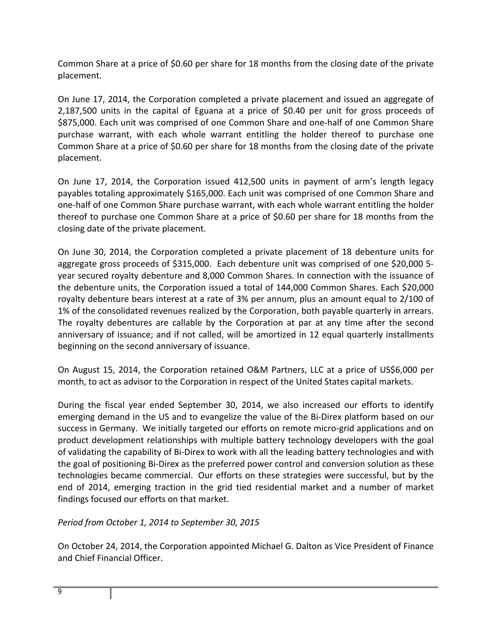Common Share at a price of \$0.60 per share for 18 months from the closing date of the private placement.

On June 17, 2014, the Corporation completed a private placement and issued an aggregate of 2,187,500 units in the capital of Eguana at a price of \$0.40 per unit for gross proceeds of \$875,000. Each unit was comprised of one Common Share and one‐half of one Common Share purchase warrant, with each whole warrant entitling the holder thereof to purchase one Common Share at a price of \$0.60 per share for 18 months from the closing date of the private placement.

On June 17, 2014, the Corporation issued 412,500 units in payment of arm's length legacy payables totaling approximately \$165,000. Each unit was comprised of one Common Share and one‐half of one Common Share purchase warrant, with each whole warrant entitling the holder thereof to purchase one Common Share at a price of \$0.60 per share for 18 months from the closing date of the private placement.

On June 30, 2014, the Corporation completed a private placement of 18 debenture units for aggregate gross proceeds of \$315,000. Each debenture unit was comprised of one \$20,000 5‐ year secured royalty debenture and 8,000 Common Shares. In connection with the issuance of the debenture units, the Corporation issued a total of 144,000 Common Shares. Each \$20,000 royalty debenture bears interest at a rate of 3% per annum, plus an amount equal to 2/100 of 1% of the consolidated revenues realized by the Corporation, both payable quarterly in arrears. The royalty debentures are callable by the Corporation at par at any time after the second anniversary of issuance; and if not called, will be amortized in 12 equal quarterly installments beginning on the second anniversary of issuance.

On August 15, 2014, the Corporation retained O&M Partners, LLC at a price of US\$6,000 per month, to act as advisor to the Corporation in respect of the United States capital markets.

During the fiscal year ended September 30, 2014, we also increased our efforts to identify emerging demand in the US and to evangelize the value of the Bi‐Direx platform based on our success in Germany. We initially targeted our efforts on remote micro-grid applications and on product development relationships with multiple battery technology developers with the goal of validating the capability of Bi‐Direx to work with all the leading battery technologies and with the goal of positioning Bi‐Direx as the preferred power control and conversion solution as these technologies became commercial. Our efforts on these strategies were successful, but by the end of 2014, emerging traction in the grid tied residential market and a number of market findings focused our efforts on that market.

*Period from October 1, 2014 to September 30, 2015* 

On October 24, 2014, the Corporation appointed Michael G. Dalton as Vice President of Finance and Chief Financial Officer.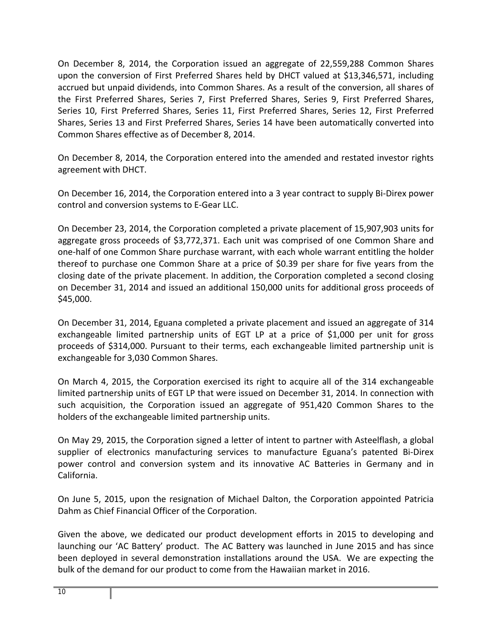On December 8, 2014, the Corporation issued an aggregate of 22,559,288 Common Shares upon the conversion of First Preferred Shares held by DHCT valued at \$13,346,571, including accrued but unpaid dividends, into Common Shares. As a result of the conversion, all shares of the First Preferred Shares, Series 7, First Preferred Shares, Series 9, First Preferred Shares, Series 10, First Preferred Shares, Series 11, First Preferred Shares, Series 12, First Preferred Shares, Series 13 and First Preferred Shares, Series 14 have been automatically converted into Common Shares effective as of December 8, 2014.

On December 8, 2014, the Corporation entered into the amended and restated investor rights agreement with DHCT.

On December 16, 2014, the Corporation entered into a 3 year contract to supply Bi‐Direx power control and conversion systems to E‐Gear LLC.

On December 23, 2014, the Corporation completed a private placement of 15,907,903 units for aggregate gross proceeds of \$3,772,371. Each unit was comprised of one Common Share and one‐half of one Common Share purchase warrant, with each whole warrant entitling the holder thereof to purchase one Common Share at a price of \$0.39 per share for five years from the closing date of the private placement. In addition, the Corporation completed a second closing on December 31, 2014 and issued an additional 150,000 units for additional gross proceeds of \$45,000.

On December 31, 2014, Eguana completed a private placement and issued an aggregate of 314 exchangeable limited partnership units of EGT LP at a price of \$1,000 per unit for gross proceeds of \$314,000. Pursuant to their terms, each exchangeable limited partnership unit is exchangeable for 3,030 Common Shares.

On March 4, 2015, the Corporation exercised its right to acquire all of the 314 exchangeable limited partnership units of EGT LP that were issued on December 31, 2014. In connection with such acquisition, the Corporation issued an aggregate of 951,420 Common Shares to the holders of the exchangeable limited partnership units.

On May 29, 2015, the Corporation signed a letter of intent to partner with Asteelflash, a global supplier of electronics manufacturing services to manufacture Eguana's patented Bi‐Direx power control and conversion system and its innovative AC Batteries in Germany and in California.

On June 5, 2015, upon the resignation of Michael Dalton, the Corporation appointed Patricia Dahm as Chief Financial Officer of the Corporation.

Given the above, we dedicated our product development efforts in 2015 to developing and launching our 'AC Battery' product. The AC Battery was launched in June 2015 and has since been deployed in several demonstration installations around the USA. We are expecting the bulk of the demand for our product to come from the Hawaiian market in 2016.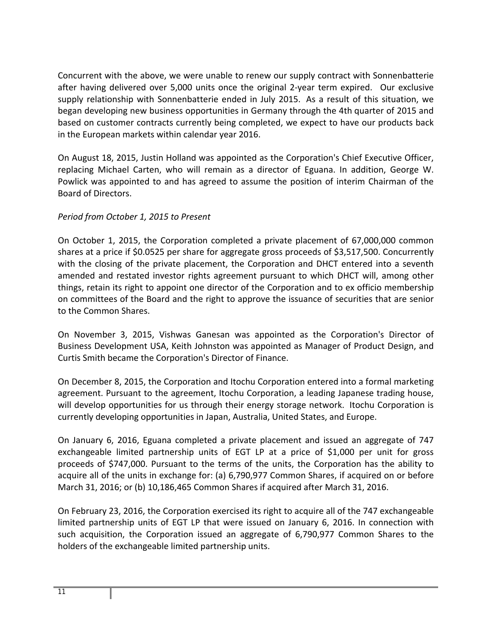Concurrent with the above, we were unable to renew our supply contract with Sonnenbatterie after having delivered over 5,000 units once the original 2‐year term expired. Our exclusive supply relationship with Sonnenbatterie ended in July 2015. As a result of this situation, we began developing new business opportunities in Germany through the 4th quarter of 2015 and based on customer contracts currently being completed, we expect to have our products back in the European markets within calendar year 2016.

On August 18, 2015, Justin Holland was appointed as the Corporation's Chief Executive Officer, replacing Michael Carten, who will remain as a director of Eguana. In addition, George W. Powlick was appointed to and has agreed to assume the position of interim Chairman of the Board of Directors.

## *Period from October 1, 2015 to Present*

On October 1, 2015, the Corporation completed a private placement of 67,000,000 common shares at a price if \$0.0525 per share for aggregate gross proceeds of \$3,517,500. Concurrently with the closing of the private placement, the Corporation and DHCT entered into a seventh amended and restated investor rights agreement pursuant to which DHCT will, among other things, retain its right to appoint one director of the Corporation and to ex officio membership on committees of the Board and the right to approve the issuance of securities that are senior to the Common Shares.

On November 3, 2015, Vishwas Ganesan was appointed as the Corporation's Director of Business Development USA, Keith Johnston was appointed as Manager of Product Design, and Curtis Smith became the Corporation's Director of Finance.

On December 8, 2015, the Corporation and Itochu Corporation entered into a formal marketing agreement. Pursuant to the agreement, Itochu Corporation, a leading Japanese trading house, will develop opportunities for us through their energy storage network. Itochu Corporation is currently developing opportunities in Japan, Australia, United States, and Europe.

On January 6, 2016, Eguana completed a private placement and issued an aggregate of 747 exchangeable limited partnership units of EGT LP at a price of \$1,000 per unit for gross proceeds of \$747,000. Pursuant to the terms of the units, the Corporation has the ability to acquire all of the units in exchange for: (a) 6,790,977 Common Shares, if acquired on or before March 31, 2016; or (b) 10,186,465 Common Shares if acquired after March 31, 2016.

On February 23, 2016, the Corporation exercised its right to acquire all of the 747 exchangeable limited partnership units of EGT LP that were issued on January 6, 2016. In connection with such acquisition, the Corporation issued an aggregate of 6,790,977 Common Shares to the holders of the exchangeable limited partnership units.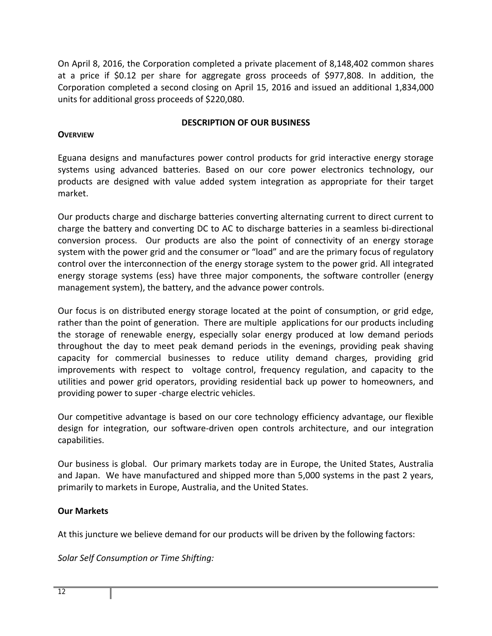On April 8, 2016, the Corporation completed a private placement of 8,148,402 common shares at a price if \$0.12 per share for aggregate gross proceeds of \$977,808. In addition, the Corporation completed a second closing on April 15, 2016 and issued an additional 1,834,000 units for additional gross proceeds of \$220,080.

## **DESCRIPTION OF OUR BUSINESS**

## **OVERVIEW**

Eguana designs and manufactures power control products for grid interactive energy storage systems using advanced batteries. Based on our core power electronics technology, our products are designed with value added system integration as appropriate for their target market.

Our products charge and discharge batteries converting alternating current to direct current to charge the battery and converting DC to AC to discharge batteries in a seamless bi‐directional conversion process. Our products are also the point of connectivity of an energy storage system with the power grid and the consumer or "load" and are the primary focus of regulatory control over the interconnection of the energy storage system to the power grid. All integrated energy storage systems (ess) have three major components, the software controller (energy management system), the battery, and the advance power controls.

Our focus is on distributed energy storage located at the point of consumption, or grid edge, rather than the point of generation. There are multiple applications for our products including the storage of renewable energy, especially solar energy produced at low demand periods throughout the day to meet peak demand periods in the evenings, providing peak shaving capacity for commercial businesses to reduce utility demand charges, providing grid improvements with respect to voltage control, frequency regulation, and capacity to the utilities and power grid operators, providing residential back up power to homeowners, and providing power to super ‐charge electric vehicles.

Our competitive advantage is based on our core technology efficiency advantage, our flexible design for integration, our software‐driven open controls architecture, and our integration capabilities.

Our business is global. Our primary markets today are in Europe, the United States, Australia and Japan. We have manufactured and shipped more than 5,000 systems in the past 2 years, primarily to markets in Europe, Australia, and the United States.

## **Our Markets**

At this juncture we believe demand for our products will be driven by the following factors:

*Solar Self Consumption or Time Shifting:*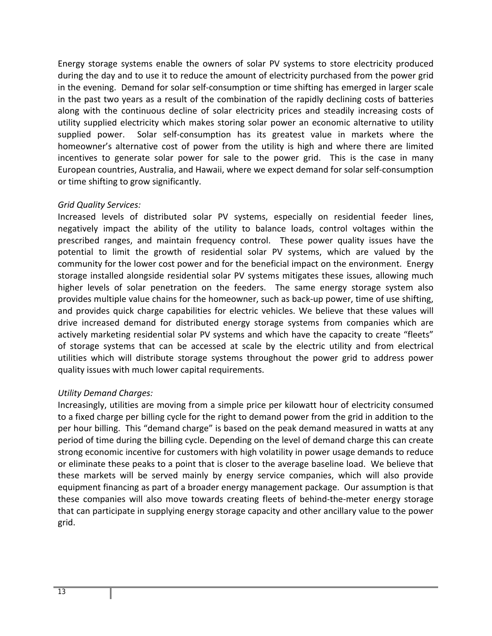Energy storage systems enable the owners of solar PV systems to store electricity produced during the day and to use it to reduce the amount of electricity purchased from the power grid in the evening. Demand for solar self‐consumption or time shifting has emerged in larger scale in the past two years as a result of the combination of the rapidly declining costs of batteries along with the continuous decline of solar electricity prices and steadily increasing costs of utility supplied electricity which makes storing solar power an economic alternative to utility supplied power. Solar self-consumption has its greatest value in markets where the homeowner's alternative cost of power from the utility is high and where there are limited incentives to generate solar power for sale to the power grid. This is the case in many European countries, Australia, and Hawaii, where we expect demand for solar self‐consumption or time shifting to grow significantly.

## *Grid Quality Services:*

Increased levels of distributed solar PV systems, especially on residential feeder lines, negatively impact the ability of the utility to balance loads, control voltages within the prescribed ranges, and maintain frequency control. These power quality issues have the potential to limit the growth of residential solar PV systems, which are valued by the community for the lower cost power and for the beneficial impact on the environment. Energy storage installed alongside residential solar PV systems mitigates these issues, allowing much higher levels of solar penetration on the feeders. The same energy storage system also provides multiple value chains for the homeowner, such as back‐up power, time of use shifting, and provides quick charge capabilities for electric vehicles. We believe that these values will drive increased demand for distributed energy storage systems from companies which are actively marketing residential solar PV systems and which have the capacity to create "fleets" of storage systems that can be accessed at scale by the electric utility and from electrical utilities which will distribute storage systems throughout the power grid to address power quality issues with much lower capital requirements.

## *Utility Demand Charges:*

Increasingly, utilities are moving from a simple price per kilowatt hour of electricity consumed to a fixed charge per billing cycle for the right to demand power from the grid in addition to the per hour billing. This "demand charge" is based on the peak demand measured in watts at any period of time during the billing cycle. Depending on the level of demand charge this can create strong economic incentive for customers with high volatility in power usage demands to reduce or eliminate these peaks to a point that is closer to the average baseline load. We believe that these markets will be served mainly by energy service companies, which will also provide equipment financing as part of a broader energy management package. Our assumption is that these companies will also move towards creating fleets of behind‐the‐meter energy storage that can participate in supplying energy storage capacity and other ancillary value to the power grid.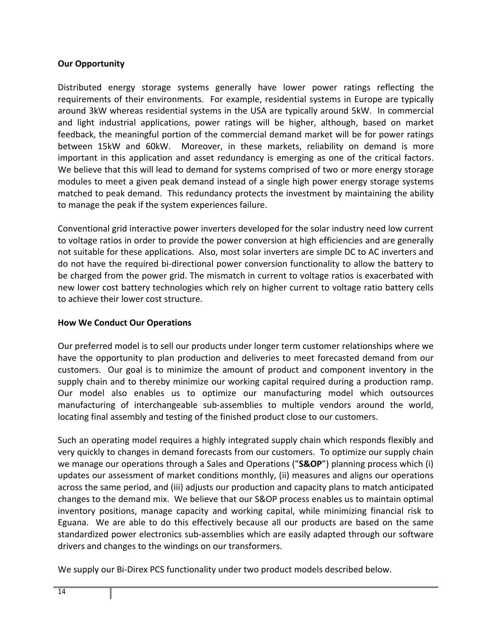## **Our Opportunity**

Distributed energy storage systems generally have lower power ratings reflecting the requirements of their environments. For example, residential systems in Europe are typically around 3kW whereas residential systems in the USA are typically around 5kW. In commercial and light industrial applications, power ratings will be higher, although, based on market feedback, the meaningful portion of the commercial demand market will be for power ratings between 15kW and 60kW. Moreover, in these markets, reliability on demand is more important in this application and asset redundancy is emerging as one of the critical factors. We believe that this will lead to demand for systems comprised of two or more energy storage modules to meet a given peak demand instead of a single high power energy storage systems matched to peak demand. This redundancy protects the investment by maintaining the ability to manage the peak if the system experiences failure.

Conventional grid interactive power inverters developed for the solar industry need low current to voltage ratios in order to provide the power conversion at high efficiencies and are generally not suitable for these applications. Also, most solar inverters are simple DC to AC inverters and do not have the required bi‐directional power conversion functionality to allow the battery to be charged from the power grid. The mismatch in current to voltage ratios is exacerbated with new lower cost battery technologies which rely on higher current to voltage ratio battery cells to achieve their lower cost structure.

## **How We Conduct Our Operations**

Our preferred model is to sell our products under longer term customer relationships where we have the opportunity to plan production and deliveries to meet forecasted demand from our customers. Our goal is to minimize the amount of product and component inventory in the supply chain and to thereby minimize our working capital required during a production ramp. Our model also enables us to optimize our manufacturing model which outsources manufacturing of interchangeable sub-assemblies to multiple vendors around the world, locating final assembly and testing of the finished product close to our customers.

Such an operating model requires a highly integrated supply chain which responds flexibly and very quickly to changes in demand forecasts from our customers. To optimize our supply chain we manage our operations through a Sales and Operations ("**S&OP**") planning process which (i) updates our assessment of market conditions monthly, (ii) measures and aligns our operations across the same period, and (iii) adjusts our production and capacity plans to match anticipated changes to the demand mix. We believe that our S&OP process enables us to maintain optimal inventory positions, manage capacity and working capital, while minimizing financial risk to Eguana. We are able to do this effectively because all our products are based on the same standardized power electronics sub‐assemblies which are easily adapted through our software drivers and changes to the windings on our transformers.

We supply our Bi-Direx PCS functionality under two product models described below.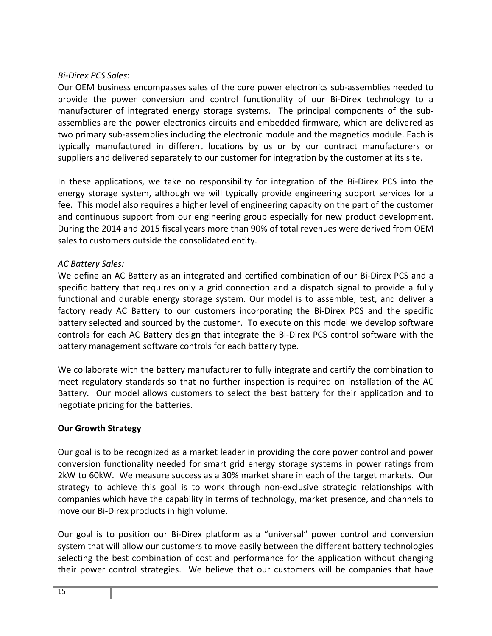## *Bi‐Direx PCS Sales*:

Our OEM business encompasses sales of the core power electronics sub‐assemblies needed to provide the power conversion and control functionality of our Bi‐Direx technology to a manufacturer of integrated energy storage systems. The principal components of the subassemblies are the power electronics circuits and embedded firmware, which are delivered as two primary sub‐assemblies including the electronic module and the magnetics module. Each is typically manufactured in different locations by us or by our contract manufacturers or suppliers and delivered separately to our customer for integration by the customer at its site.

In these applications, we take no responsibility for integration of the Bi-Direx PCS into the energy storage system, although we will typically provide engineering support services for a fee. This model also requires a higher level of engineering capacity on the part of the customer and continuous support from our engineering group especially for new product development. During the 2014 and 2015 fiscal years more than 90% of total revenues were derived from OEM sales to customers outside the consolidated entity.

## *AC Battery Sales:*

We define an AC Battery as an integrated and certified combination of our Bi‐Direx PCS and a specific battery that requires only a grid connection and a dispatch signal to provide a fully functional and durable energy storage system. Our model is to assemble, test, and deliver a factory ready AC Battery to our customers incorporating the Bi-Direx PCS and the specific battery selected and sourced by the customer. To execute on this model we develop software controls for each AC Battery design that integrate the Bi‐Direx PCS control software with the battery management software controls for each battery type.

We collaborate with the battery manufacturer to fully integrate and certify the combination to meet regulatory standards so that no further inspection is required on installation of the AC Battery. Our model allows customers to select the best battery for their application and to negotiate pricing for the batteries.

## **Our Growth Strategy**

Our goal is to be recognized as a market leader in providing the core power control and power conversion functionality needed for smart grid energy storage systems in power ratings from 2kW to 60kW. We measure success as a 30% market share in each of the target markets. Our strategy to achieve this goal is to work through non‐exclusive strategic relationships with companies which have the capability in terms of technology, market presence, and channels to move our Bi‐Direx products in high volume.

Our goal is to position our Bi‐Direx platform as a "universal" power control and conversion system that will allow our customers to move easily between the different battery technologies selecting the best combination of cost and performance for the application without changing their power control strategies. We believe that our customers will be companies that have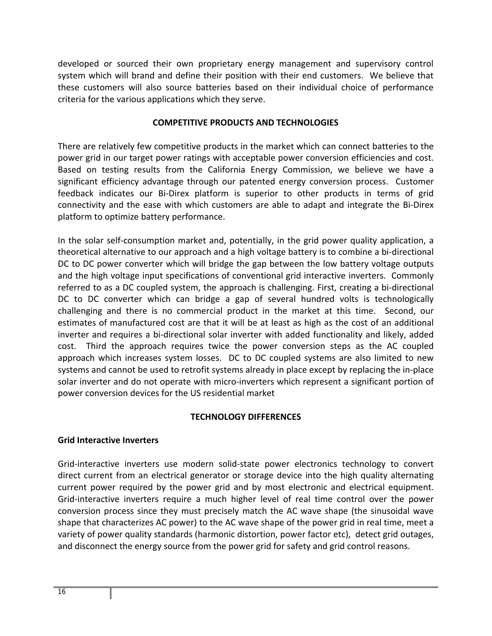developed or sourced their own proprietary energy management and supervisory control system which will brand and define their position with their end customers. We believe that these customers will also source batteries based on their individual choice of performance criteria for the various applications which they serve.

#### **COMPETITIVE PRODUCTS AND TECHNOLOGIES**

There are relatively few competitive products in the market which can connect batteries to the power grid in our target power ratings with acceptable power conversion efficiencies and cost. Based on testing results from the California Energy Commission, we believe we have a significant efficiency advantage through our patented energy conversion process. Customer feedback indicates our Bi‐Direx platform is superior to other products in terms of grid connectivity and the ease with which customers are able to adapt and integrate the Bi‐Direx platform to optimize battery performance.

In the solar self‐consumption market and, potentially, in the grid power quality application, a theoretical alternative to our approach and a high voltage battery is to combine a bi‐directional DC to DC power converter which will bridge the gap between the low battery voltage outputs and the high voltage input specifications of conventional grid interactive inverters. Commonly referred to as a DC coupled system, the approach is challenging. First, creating a bi‐directional DC to DC converter which can bridge a gap of several hundred volts is technologically challenging and there is no commercial product in the market at this time. Second, our estimates of manufactured cost are that it will be at least as high as the cost of an additional inverter and requires a bi‐directional solar inverter with added functionality and likely, added cost. Third the approach requires twice the power conversion steps as the AC coupled approach which increases system losses. DC to DC coupled systems are also limited to new systems and cannot be used to retrofit systems already in place except by replacing the in‐place solar inverter and do not operate with micro-inverters which represent a significant portion of power conversion devices for the US residential market

## **TECHNOLOGY DIFFERENCES**

## **Grid Interactive Inverters**

Grid-interactive inverters use modern solid-state power electronics technology to convert direct current from an electrical generator or storage device into the high quality alternating current power required by the power grid and by most electronic and electrical equipment. Grid-interactive inverters require a much higher level of real time control over the power conversion process since they must precisely match the AC wave shape (the sinusoidal wave shape that characterizes AC power) to the AC wave shape of the power grid in real time, meet a variety of power quality standards (harmonic distortion, power factor etc), detect grid outages, and disconnect the energy source from the power grid for safety and grid control reasons.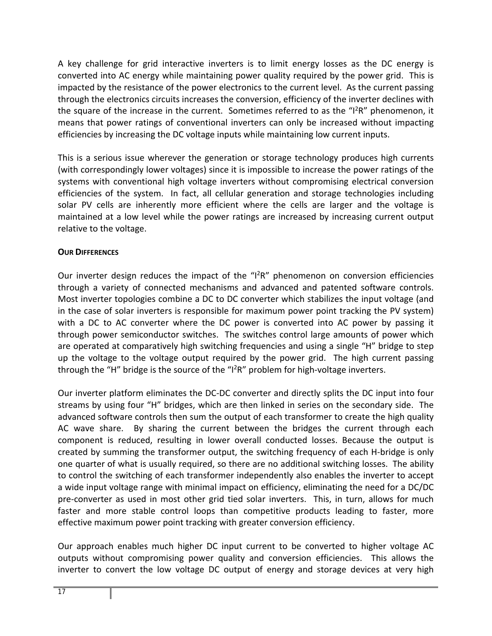A key challenge for grid interactive inverters is to limit energy losses as the DC energy is converted into AC energy while maintaining power quality required by the power grid. This is impacted by the resistance of the power electronics to the current level. As the current passing through the electronics circuits increases the conversion, efficiency of the inverter declines with the square of the increase in the current. Sometimes referred to as the " $1^2R''$  phenomenon, it means that power ratings of conventional inverters can only be increased without impacting efficiencies by increasing the DC voltage inputs while maintaining low current inputs.

This is a serious issue wherever the generation or storage technology produces high currents (with correspondingly lower voltages) since it is impossible to increase the power ratings of the systems with conventional high voltage inverters without compromising electrical conversion efficiencies of the system. In fact, all cellular generation and storage technologies including solar PV cells are inherently more efficient where the cells are larger and the voltage is maintained at a low level while the power ratings are increased by increasing current output relative to the voltage.

## **OUR DIFFERENCES**

Our inverter design reduces the impact of the "I<sup>2</sup>R" phenomenon on conversion efficiencies through a variety of connected mechanisms and advanced and patented software controls. Most inverter topologies combine a DC to DC converter which stabilizes the input voltage (and in the case of solar inverters is responsible for maximum power point tracking the PV system) with a DC to AC converter where the DC power is converted into AC power by passing it through power semiconductor switches. The switches control large amounts of power which are operated at comparatively high switching frequencies and using a single "H" bridge to step up the voltage to the voltage output required by the power grid. The high current passing through the "H" bridge is the source of the " $1^2R$ " problem for high-voltage inverters.

Our inverter platform eliminates the DC‐DC converter and directly splits the DC input into four streams by using four "H" bridges, which are then linked in series on the secondary side. The advanced software controls then sum the output of each transformer to create the high quality AC wave share. By sharing the current between the bridges the current through each component is reduced, resulting in lower overall conducted losses. Because the output is created by summing the transformer output, the switching frequency of each H‐bridge is only one quarter of what is usually required, so there are no additional switching losses. The ability to control the switching of each transformer independently also enables the inverter to accept a wide input voltage range with minimal impact on efficiency, eliminating the need for a DC/DC pre-converter as used in most other grid tied solar inverters. This, in turn, allows for much faster and more stable control loops than competitive products leading to faster, more effective maximum power point tracking with greater conversion efficiency.

Our approach enables much higher DC input current to be converted to higher voltage AC outputs without compromising power quality and conversion efficiencies. This allows the inverter to convert the low voltage DC output of energy and storage devices at very high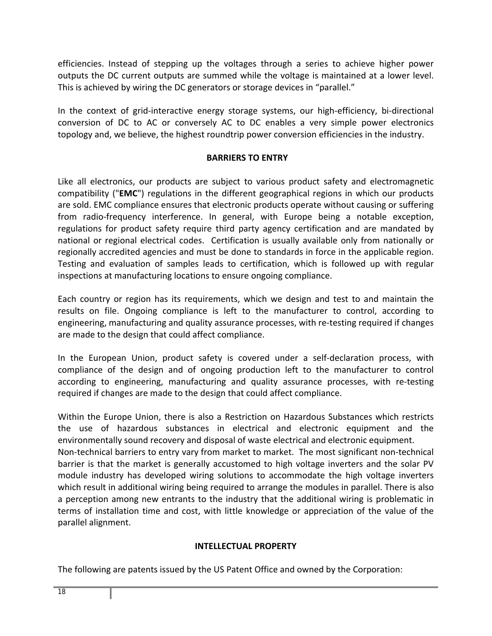efficiencies. Instead of stepping up the voltages through a series to achieve higher power outputs the DC current outputs are summed while the voltage is maintained at a lower level. This is achieved by wiring the DC generators or storage devices in "parallel."

In the context of grid-interactive energy storage systems, our high-efficiency, bi-directional conversion of DC to AC or conversely AC to DC enables a very simple power electronics topology and, we believe, the highest roundtrip power conversion efficiencies in the industry.

## **BARRIERS TO ENTRY**

Like all electronics, our products are subject to various product safety and electromagnetic compatibility ("**EMC**") regulations in the different geographical regions in which our products are sold. EMC compliance ensures that electronic products operate without causing or suffering from radio‐frequency interference. In general, with Europe being a notable exception, regulations for product safety require third party agency certification and are mandated by national or regional electrical codes. Certification is usually available only from nationally or regionally accredited agencies and must be done to standards in force in the applicable region. Testing and evaluation of samples leads to certification, which is followed up with regular inspections at manufacturing locations to ensure ongoing compliance.

Each country or region has its requirements, which we design and test to and maintain the results on file. Ongoing compliance is left to the manufacturer to control, according to engineering, manufacturing and quality assurance processes, with re-testing required if changes are made to the design that could affect compliance.

In the European Union, product safety is covered under a self-declaration process, with compliance of the design and of ongoing production left to the manufacturer to control according to engineering, manufacturing and quality assurance processes, with re-testing required if changes are made to the design that could affect compliance.

Within the Europe Union, there is also a Restriction on Hazardous Substances which restricts the use of hazardous substances in electrical and electronic equipment and the environmentally sound recovery and disposal of waste electrical and electronic equipment. Non-technical barriers to entry vary from market to market. The most significant non-technical barrier is that the market is generally accustomed to high voltage inverters and the solar PV module industry has developed wiring solutions to accommodate the high voltage inverters which result in additional wiring being required to arrange the modules in parallel. There is also a perception among new entrants to the industry that the additional wiring is problematic in terms of installation time and cost, with little knowledge or appreciation of the value of the parallel alignment.

## **INTELLECTUAL PROPERTY**

The following are patents issued by the US Patent Office and owned by the Corporation: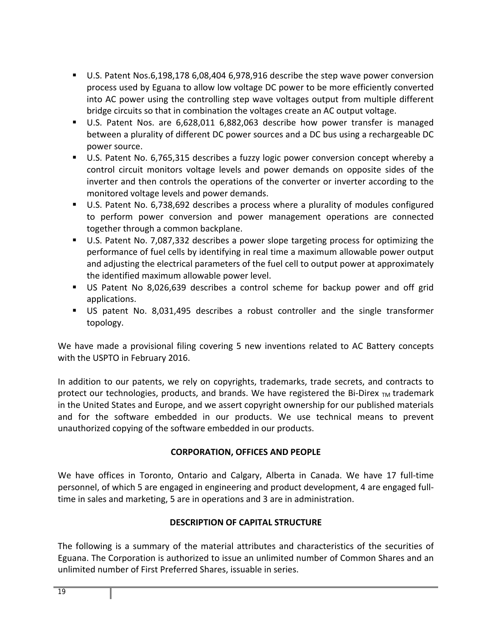- U.S. Patent Nos.6,198,178 6,08,404 6,978,916 describe the step wave power conversion process used by Eguana to allow low voltage DC power to be more efficiently converted into AC power using the controlling step wave voltages output from multiple different bridge circuits so that in combination the voltages create an AC output voltage.
- U.S. Patent Nos. are 6,628,011 6,882,063 describe how power transfer is managed between a plurality of different DC power sources and a DC bus using a rechargeable DC power source.
- U.S. Patent No. 6,765,315 describes a fuzzy logic power conversion concept whereby a control circuit monitors voltage levels and power demands on opposite sides of the inverter and then controls the operations of the converter or inverter according to the monitored voltage levels and power demands.
- U.S. Patent No. 6,738,692 describes a process where a plurality of modules configured to perform power conversion and power management operations are connected together through a common backplane.
- U.S. Patent No. 7,087,332 describes a power slope targeting process for optimizing the performance of fuel cells by identifying in real time a maximum allowable power output and adjusting the electrical parameters of the fuel cell to output power at approximately the identified maximum allowable power level.
- US Patent No 8,026,639 describes a control scheme for backup power and off grid applications.
- US patent No. 8,031,495 describes a robust controller and the single transformer topology.

We have made a provisional filing covering 5 new inventions related to AC Battery concepts with the USPTO in February 2016.

In addition to our patents, we rely on copyrights, trademarks, trade secrets, and contracts to protect our technologies, products, and brands. We have registered the Bi-Direx  $_{TM}$  trademark in the United States and Europe, and we assert copyright ownership for our published materials and for the software embedded in our products. We use technical means to prevent unauthorized copying of the software embedded in our products.

## **CORPORATION, OFFICES AND PEOPLE**

We have offices in Toronto, Ontario and Calgary, Alberta in Canada. We have 17 full-time personnel, of which 5 are engaged in engineering and product development, 4 are engaged full‐ time in sales and marketing, 5 are in operations and 3 are in administration.

## **DESCRIPTION OF CAPITAL STRUCTURE**

The following is a summary of the material attributes and characteristics of the securities of Eguana. The Corporation is authorized to issue an unlimited number of Common Shares and an unlimited number of First Preferred Shares, issuable in series.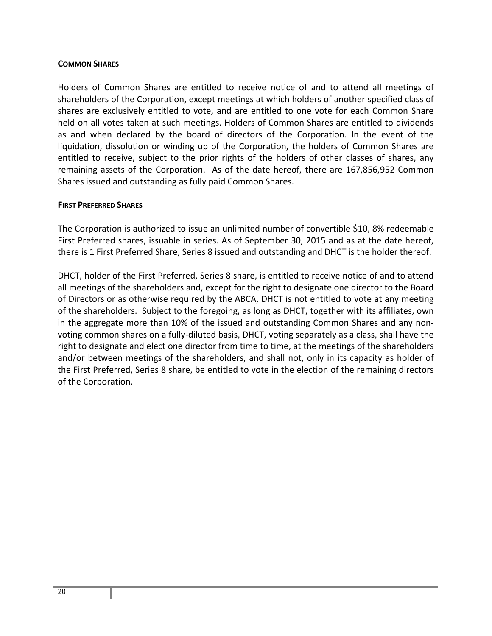#### **COMMON SHARES**

Holders of Common Shares are entitled to receive notice of and to attend all meetings of shareholders of the Corporation, except meetings at which holders of another specified class of shares are exclusively entitled to vote, and are entitled to one vote for each Common Share held on all votes taken at such meetings. Holders of Common Shares are entitled to dividends as and when declared by the board of directors of the Corporation. In the event of the liquidation, dissolution or winding up of the Corporation, the holders of Common Shares are entitled to receive, subject to the prior rights of the holders of other classes of shares, any remaining assets of the Corporation. As of the date hereof, there are 167,856,952 Common Shares issued and outstanding as fully paid Common Shares.

#### **FIRST PREFERRED SHARES**

The Corporation is authorized to issue an unlimited number of convertible \$10, 8% redeemable First Preferred shares, issuable in series. As of September 30, 2015 and as at the date hereof, there is 1 First Preferred Share, Series 8 issued and outstanding and DHCT is the holder thereof.

DHCT, holder of the First Preferred, Series 8 share, is entitled to receive notice of and to attend all meetings of the shareholders and, except for the right to designate one director to the Board of Directors or as otherwise required by the ABCA, DHCT is not entitled to vote at any meeting of the shareholders. Subject to the foregoing, as long as DHCT, together with its affiliates, own in the aggregate more than 10% of the issued and outstanding Common Shares and any non‐ voting common shares on a fully‐diluted basis, DHCT, voting separately as a class, shall have the right to designate and elect one director from time to time, at the meetings of the shareholders and/or between meetings of the shareholders, and shall not, only in its capacity as holder of the First Preferred, Series 8 share, be entitled to vote in the election of the remaining directors of the Corporation.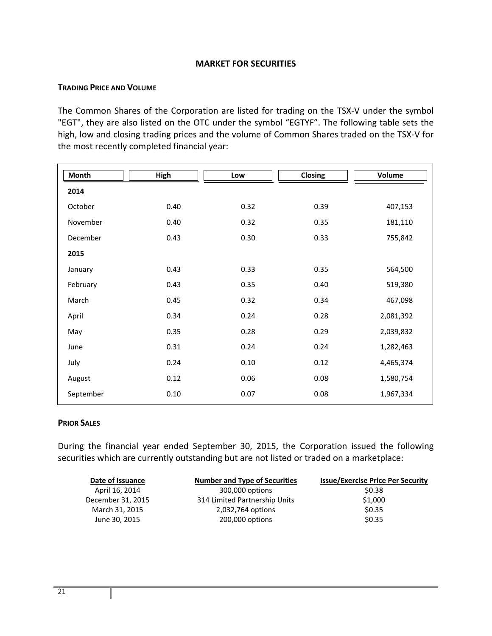## **MARKET FOR SECURITIES**

#### **TRADING PRICE AND VOLUME**

The Common Shares of the Corporation are listed for trading on the TSX‐V under the symbol "EGT", they are also listed on the OTC under the symbol "EGTYF". The following table sets the high, low and closing trading prices and the volume of Common Shares traded on the TSX‐V for the most recently completed financial year:

| <b>Month</b> | High | Low  | <b>Closing</b> | <b>Volume</b> |
|--------------|------|------|----------------|---------------|
| 2014         |      |      |                |               |
| October      | 0.40 | 0.32 | 0.39           | 407,153       |
| November     | 0.40 | 0.32 | 0.35           | 181,110       |
| December     | 0.43 | 0.30 | 0.33           | 755,842       |
| 2015         |      |      |                |               |
| January      | 0.43 | 0.33 | 0.35           | 564,500       |
| February     | 0.43 | 0.35 | 0.40           | 519,380       |
| March        | 0.45 | 0.32 | 0.34           | 467,098       |
| April        | 0.34 | 0.24 | 0.28           | 2,081,392     |
| May          | 0.35 | 0.28 | 0.29           | 2,039,832     |
| June         | 0.31 | 0.24 | 0.24           | 1,282,463     |
| July         | 0.24 | 0.10 | 0.12           | 4,465,374     |
| August       | 0.12 | 0.06 | 0.08           | 1,580,754     |
| September    | 0.10 | 0.07 | 0.08           | 1,967,334     |

#### **PRIOR SALES**

During the financial year ended September 30, 2015, the Corporation issued the following securities which are currently outstanding but are not listed or traded on a marketplace:

| Date of Issuance  | <b>Number and Type of Securities</b> | <b>Issue/Exercise Price Per Security</b> |
|-------------------|--------------------------------------|------------------------------------------|
| April 16, 2014    | 300,000 options                      | \$0.38                                   |
| December 31, 2015 | 314 Limited Partnership Units        | \$1,000                                  |
| March 31, 2015    | 2,032,764 options                    | \$0.35                                   |
| June 30, 2015     | 200,000 options                      | \$0.35                                   |
|                   |                                      |                                          |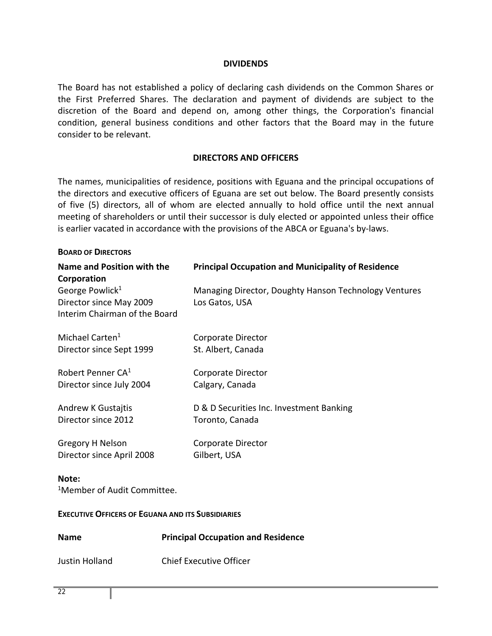#### **DIVIDENDS**

The Board has not established a policy of declaring cash dividends on the Common Shares or the First Preferred Shares. The declaration and payment of dividends are subject to the discretion of the Board and depend on, among other things, the Corporation's financial condition, general business conditions and other factors that the Board may in the future consider to be relevant.

#### **DIRECTORS AND OFFICERS**

The names, municipalities of residence, positions with Eguana and the principal occupations of the directors and executive officers of Eguana are set out below. The Board presently consists of five (5) directors, all of whom are elected annually to hold office until the next annual meeting of shareholders or until their successor is duly elected or appointed unless their office is earlier vacated in accordance with the provisions of the ABCA or Eguana's by‐laws.

| <b>BOARD OF DIRECTORS</b>                                                               |                                                                         |
|-----------------------------------------------------------------------------------------|-------------------------------------------------------------------------|
| Name and Position with the<br>Corporation                                               | <b>Principal Occupation and Municipality of Residence</b>               |
| George Powlick <sup>1</sup><br>Director since May 2009<br>Interim Chairman of the Board | Managing Director, Doughty Hanson Technology Ventures<br>Los Gatos, USA |
| Michael Carten <sup>1</sup><br>Director since Sept 1999                                 | <b>Corporate Director</b><br>St. Albert, Canada                         |
| Robert Penner CA <sup>1</sup><br>Director since July 2004                               | <b>Corporate Director</b><br>Calgary, Canada                            |
| <b>Andrew K Gustajtis</b><br>Director since 2012                                        | D & D Securities Inc. Investment Banking<br>Toronto, Canada             |
| Gregory H Nelson<br>Director since April 2008                                           | Corporate Director<br>Gilbert, USA                                      |
| Note:<br><sup>1</sup> Member of Audit Committee.                                        |                                                                         |
| <b>EXECUTIVE OFFICERS OF EGUANA AND ITS SUBSIDIARIES</b>                                |                                                                         |
| <b>Name</b>                                                                             | <b>Principal Occupation and Residence</b>                               |
| <b>Justin Holland</b>                                                                   | <b>Chief Executive Officer</b>                                          |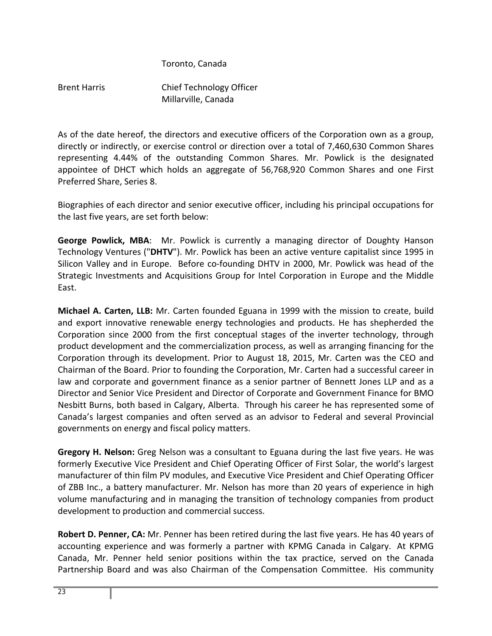## Toronto, Canada

Brent Harris Chief Technology Officer Millarville, Canada

As of the date hereof, the directors and executive officers of the Corporation own as a group, directly or indirectly, or exercise control or direction over a total of 7,460,630 Common Shares representing 4.44% of the outstanding Common Shares. Mr. Powlick is the designated appointee of DHCT which holds an aggregate of 56,768,920 Common Shares and one First Preferred Share, Series 8.

Biographies of each director and senior executive officer, including his principal occupations for the last five years, are set forth below:

**George Powlick, MBA**: Mr. Powlick is currently a managing director of Doughty Hanson Technology Ventures ("**DHTV**"). Mr. Powlick has been an active venture capitalist since 1995 in Silicon Valley and in Europe. Before co-founding DHTV in 2000, Mr. Powlick was head of the Strategic Investments and Acquisitions Group for Intel Corporation in Europe and the Middle East.

**Michael A. Carten, LLB:** Mr. Carten founded Eguana in 1999 with the mission to create, build and export innovative renewable energy technologies and products. He has shepherded the Corporation since 2000 from the first conceptual stages of the inverter technology, through product development and the commercialization process, as well as arranging financing for the Corporation through its development. Prior to August 18, 2015, Mr. Carten was the CEO and Chairman of the Board. Prior to founding the Corporation, Mr. Carten had a successful career in law and corporate and government finance as a senior partner of Bennett Jones LLP and as a Director and Senior Vice President and Director of Corporate and Government Finance for BMO Nesbitt Burns, both based in Calgary, Alberta. Through his career he has represented some of Canada's largest companies and often served as an advisor to Federal and several Provincial governments on energy and fiscal policy matters.

**Gregory H. Nelson:** Greg Nelson was a consultant to Eguana during the last five years. He was formerly Executive Vice President and Chief Operating Officer of First Solar, the world's largest manufacturer of thin film PV modules, and Executive Vice President and Chief Operating Officer of ZBB Inc., a battery manufacturer. Mr. Nelson has more than 20 years of experience in high volume manufacturing and in managing the transition of technology companies from product development to production and commercial success.

**Robert D. Penner, CA:** Mr. Penner has been retired during the last five years. He has 40 years of accounting experience and was formerly a partner with KPMG Canada in Calgary. At KPMG Canada, Mr. Penner held senior positions within the tax practice, served on the Canada Partnership Board and was also Chairman of the Compensation Committee. His community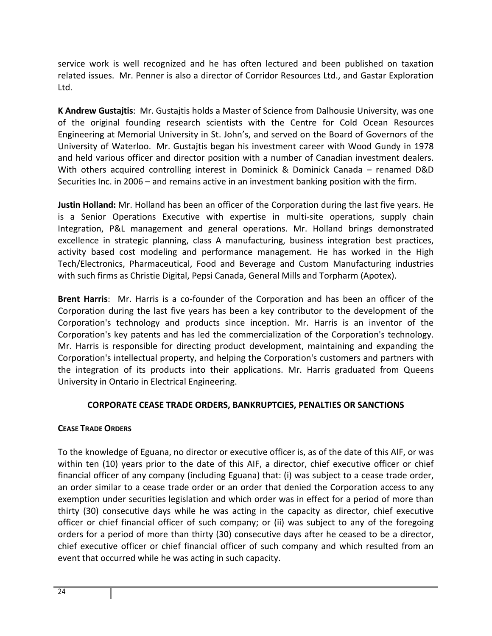service work is well recognized and he has often lectured and been published on taxation related issues. Mr. Penner is also a director of Corridor Resources Ltd., and Gastar Exploration Ltd.

**K Andrew Gustajtis**: Mr. Gustajtis holds a Master of Science from Dalhousie University, was one of the original founding research scientists with the Centre for Cold Ocean Resources Engineering at Memorial University in St. John's, and served on the Board of Governors of the University of Waterloo. Mr. Gustajtis began his investment career with Wood Gundy in 1978 and held various officer and director position with a number of Canadian investment dealers. With others acquired controlling interest in Dominick & Dominick Canada – renamed D&D Securities Inc. in 2006 – and remains active in an investment banking position with the firm.

**Justin Holland:** Mr. Holland has been an officer of the Corporation during the last five years. He is a Senior Operations Executive with expertise in multi‐site operations, supply chain Integration, P&L management and general operations. Mr. Holland brings demonstrated excellence in strategic planning, class A manufacturing, business integration best practices, activity based cost modeling and performance management. He has worked in the High Tech/Electronics, Pharmaceutical, Food and Beverage and Custom Manufacturing industries with such firms as Christie Digital, Pepsi Canada, General Mills and Torpharm (Apotex).

**Brent Harris:** Mr. Harris is a co-founder of the Corporation and has been an officer of the Corporation during the last five years has been a key contributor to the development of the Corporation's technology and products since inception. Mr. Harris is an inventor of the Corporation's key patents and has led the commercialization of the Corporation's technology. Mr. Harris is responsible for directing product development, maintaining and expanding the Corporation's intellectual property, and helping the Corporation's customers and partners with the integration of its products into their applications. Mr. Harris graduated from Queens University in Ontario in Electrical Engineering.

## **CORPORATE CEASE TRADE ORDERS, BANKRUPTCIES, PENALTIES OR SANCTIONS**

## **CEASE TRADE ORDERS**

To the knowledge of Eguana, no director or executive officer is, as of the date of this AIF, or was within ten (10) years prior to the date of this AIF, a director, chief executive officer or chief financial officer of any company (including Eguana) that: (i) was subject to a cease trade order, an order similar to a cease trade order or an order that denied the Corporation access to any exemption under securities legislation and which order was in effect for a period of more than thirty (30) consecutive days while he was acting in the capacity as director, chief executive officer or chief financial officer of such company; or (ii) was subject to any of the foregoing orders for a period of more than thirty (30) consecutive days after he ceased to be a director, chief executive officer or chief financial officer of such company and which resulted from an event that occurred while he was acting in such capacity.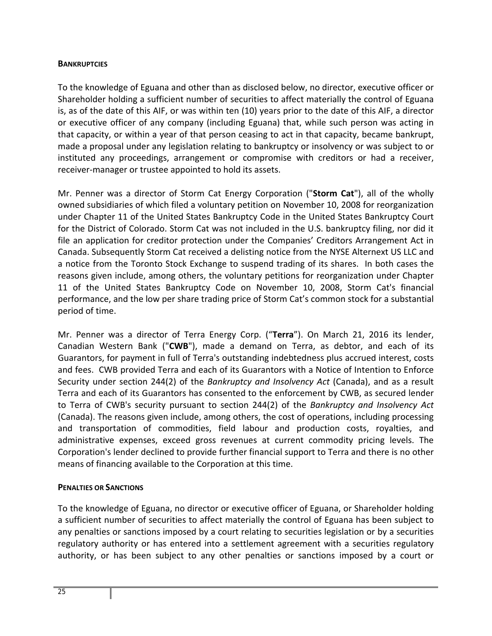#### **BANKRUPTCIES**

To the knowledge of Eguana and other than as disclosed below, no director, executive officer or Shareholder holding a sufficient number of securities to affect materially the control of Eguana is, as of the date of this AIF, or was within ten (10) years prior to the date of this AIF, a director or executive officer of any company (including Eguana) that, while such person was acting in that capacity, or within a year of that person ceasing to act in that capacity, became bankrupt, made a proposal under any legislation relating to bankruptcy or insolvency or was subject to or instituted any proceedings, arrangement or compromise with creditors or had a receiver, receiver‐manager or trustee appointed to hold its assets.

Mr. Penner was a director of Storm Cat Energy Corporation ("**Storm Cat**"), all of the wholly owned subsidiaries of which filed a voluntary petition on November 10, 2008 for reorganization under Chapter 11 of the United States Bankruptcy Code in the United States Bankruptcy Court for the District of Colorado. Storm Cat was not included in the U.S. bankruptcy filing, nor did it file an application for creditor protection under the Companies' Creditors Arrangement Act in Canada. Subsequently Storm Cat received a delisting notice from the NYSE Alternext US LLC and a notice from the Toronto Stock Exchange to suspend trading of its shares. In both cases the reasons given include, among others, the voluntary petitions for reorganization under Chapter 11 of the United States Bankruptcy Code on November 10, 2008, Storm Cat's financial performance, and the low per share trading price of Storm Cat's common stock for a substantial period of time.

Mr. Penner was a director of Terra Energy Corp. ("**Terra**"). On March 21, 2016 its lender, Canadian Western Bank ("**CWB**"), made a demand on Terra, as debtor, and each of its Guarantors, for payment in full of Terra's outstanding indebtedness plus accrued interest, costs and fees. CWB provided Terra and each of its Guarantors with a Notice of Intention to Enforce Security under section 244(2) of the *Bankruptcy and Insolvency Act* (Canada), and as a result Terra and each of its Guarantors has consented to the enforcement by CWB, as secured lender to Terra of CWB's security pursuant to section 244(2) of the *Bankruptcy and Insolvency Act* (Canada). The reasons given include, among others, the cost of operations, including processing and transportation of commodities, field labour and production costs, royalties, and administrative expenses, exceed gross revenues at current commodity pricing levels. The Corporation's lender declined to provide further financial support to Terra and there is no other means of financing available to the Corporation at this time.

## **PENALTIES OR SANCTIONS**

To the knowledge of Eguana, no director or executive officer of Eguana, or Shareholder holding a sufficient number of securities to affect materially the control of Eguana has been subject to any penalties or sanctions imposed by a court relating to securities legislation or by a securities regulatory authority or has entered into a settlement agreement with a securities regulatory authority, or has been subject to any other penalties or sanctions imposed by a court or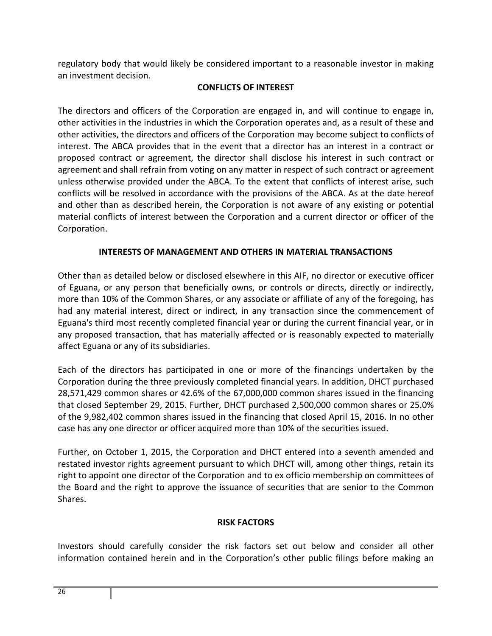regulatory body that would likely be considered important to a reasonable investor in making an investment decision.

## **CONFLICTS OF INTEREST**

The directors and officers of the Corporation are engaged in, and will continue to engage in, other activities in the industries in which the Corporation operates and, as a result of these and other activities, the directors and officers of the Corporation may become subject to conflicts of interest. The ABCA provides that in the event that a director has an interest in a contract or proposed contract or agreement, the director shall disclose his interest in such contract or agreement and shall refrain from voting on any matter in respect of such contract or agreement unless otherwise provided under the ABCA. To the extent that conflicts of interest arise, such conflicts will be resolved in accordance with the provisions of the ABCA. As at the date hereof and other than as described herein, the Corporation is not aware of any existing or potential material conflicts of interest between the Corporation and a current director or officer of the Corporation.

## **INTERESTS OF MANAGEMENT AND OTHERS IN MATERIAL TRANSACTIONS**

Other than as detailed below or disclosed elsewhere in this AIF, no director or executive officer of Eguana, or any person that beneficially owns, or controls or directs, directly or indirectly, more than 10% of the Common Shares, or any associate or affiliate of any of the foregoing, has had any material interest, direct or indirect, in any transaction since the commencement of Eguana's third most recently completed financial year or during the current financial year, or in any proposed transaction, that has materially affected or is reasonably expected to materially affect Eguana or any of its subsidiaries.

Each of the directors has participated in one or more of the financings undertaken by the Corporation during the three previously completed financial years. In addition, DHCT purchased 28,571,429 common shares or 42.6% of the 67,000,000 common shares issued in the financing that closed September 29, 2015. Further, DHCT purchased 2,500,000 common shares or 25.0% of the 9,982,402 common shares issued in the financing that closed April 15, 2016. In no other case has any one director or officer acquired more than 10% of the securities issued.

Further, on October 1, 2015, the Corporation and DHCT entered into a seventh amended and restated investor rights agreement pursuant to which DHCT will, among other things, retain its right to appoint one director of the Corporation and to ex officio membership on committees of the Board and the right to approve the issuance of securities that are senior to the Common Shares.

## **RISK FACTORS**

Investors should carefully consider the risk factors set out below and consider all other information contained herein and in the Corporation's other public filings before making an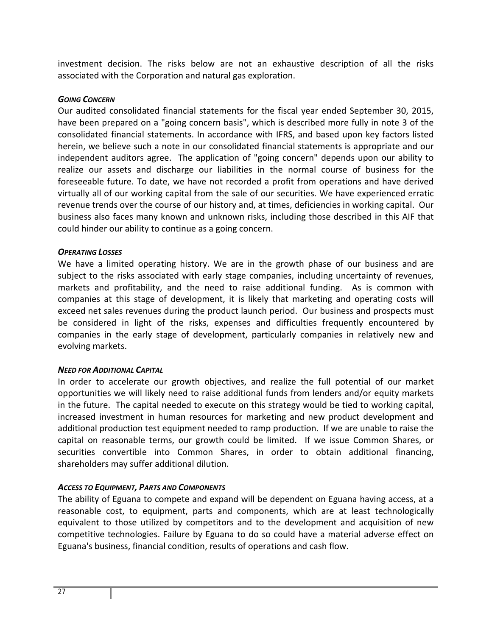investment decision. The risks below are not an exhaustive description of all the risks associated with the Corporation and natural gas exploration.

## *GOING CONCERN*

Our audited consolidated financial statements for the fiscal year ended September 30, 2015, have been prepared on a "going concern basis", which is described more fully in note 3 of the consolidated financial statements. In accordance with IFRS, and based upon key factors listed herein, we believe such a note in our consolidated financial statements is appropriate and our independent auditors agree. The application of "going concern" depends upon our ability to realize our assets and discharge our liabilities in the normal course of business for the foreseeable future. To date, we have not recorded a profit from operations and have derived virtually all of our working capital from the sale of our securities. We have experienced erratic revenue trends over the course of our history and, at times, deficiencies in working capital. Our business also faces many known and unknown risks, including those described in this AIF that could hinder our ability to continue as a going concern.

## *OPERATING LOSSES*

We have a limited operating history. We are in the growth phase of our business and are subject to the risks associated with early stage companies, including uncertainty of revenues, markets and profitability, and the need to raise additional funding. As is common with companies at this stage of development, it is likely that marketing and operating costs will exceed net sales revenues during the product launch period. Our business and prospects must be considered in light of the risks, expenses and difficulties frequently encountered by companies in the early stage of development, particularly companies in relatively new and evolving markets.

## *NEED FOR ADDITIONAL CAPITAL*

In order to accelerate our growth objectives, and realize the full potential of our market opportunities we will likely need to raise additional funds from lenders and/or equity markets in the future. The capital needed to execute on this strategy would be tied to working capital, increased investment in human resources for marketing and new product development and additional production test equipment needed to ramp production. If we are unable to raise the capital on reasonable terms, our growth could be limited. If we issue Common Shares, or securities convertible into Common Shares, in order to obtain additional financing, shareholders may suffer additional dilution.

## *ACCESS TO EQUIPMENT, PARTS AND COMPONENTS*

The ability of Eguana to compete and expand will be dependent on Eguana having access, at a reasonable cost, to equipment, parts and components, which are at least technologically equivalent to those utilized by competitors and to the development and acquisition of new competitive technologies. Failure by Eguana to do so could have a material adverse effect on Eguana's business, financial condition, results of operations and cash flow.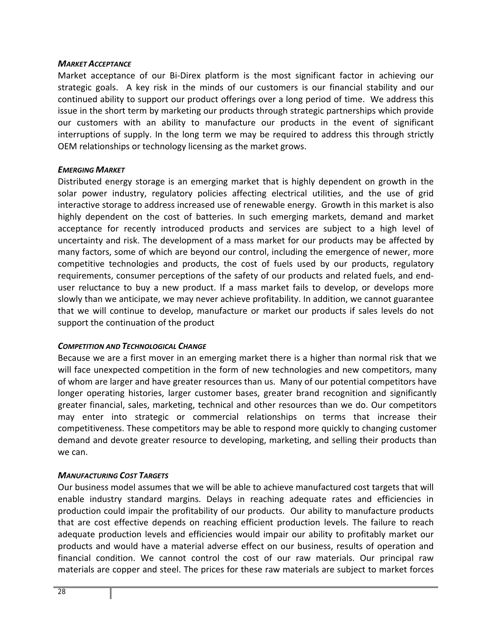#### *MARKET ACCEPTANCE*

Market acceptance of our Bi-Direx platform is the most significant factor in achieving our strategic goals. A key risk in the minds of our customers is our financial stability and our continued ability to support our product offerings over a long period of time. We address this issue in the short term by marketing our products through strategic partnerships which provide our customers with an ability to manufacture our products in the event of significant interruptions of supply. In the long term we may be required to address this through strictly OEM relationships or technology licensing as the market grows.

## *EMERGING MARKET*

Distributed energy storage is an emerging market that is highly dependent on growth in the solar power industry, regulatory policies affecting electrical utilities, and the use of grid interactive storage to address increased use of renewable energy. Growth in this market is also highly dependent on the cost of batteries. In such emerging markets, demand and market acceptance for recently introduced products and services are subject to a high level of uncertainty and risk. The development of a mass market for our products may be affected by many factors, some of which are beyond our control, including the emergence of newer, more competitive technologies and products, the cost of fuels used by our products, regulatory requirements, consumer perceptions of the safety of our products and related fuels, and end‐ user reluctance to buy a new product. If a mass market fails to develop, or develops more slowly than we anticipate, we may never achieve profitability. In addition, we cannot guarantee that we will continue to develop, manufacture or market our products if sales levels do not support the continuation of the product

## *COMPETITION AND TECHNOLOGICAL CHANGE*

Because we are a first mover in an emerging market there is a higher than normal risk that we will face unexpected competition in the form of new technologies and new competitors, many of whom are larger and have greater resources than us. Many of our potential competitors have longer operating histories, larger customer bases, greater brand recognition and significantly greater financial, sales, marketing, technical and other resources than we do. Our competitors may enter into strategic or commercial relationships on terms that increase their competitiveness. These competitors may be able to respond more quickly to changing customer demand and devote greater resource to developing, marketing, and selling their products than we can.

## *MANUFACTURING COST TARGETS*

Our business model assumes that we will be able to achieve manufactured cost targets that will enable industry standard margins. Delays in reaching adequate rates and efficiencies in production could impair the profitability of our products. Our ability to manufacture products that are cost effective depends on reaching efficient production levels. The failure to reach adequate production levels and efficiencies would impair our ability to profitably market our products and would have a material adverse effect on our business, results of operation and financial condition. We cannot control the cost of our raw materials. Our principal raw materials are copper and steel. The prices for these raw materials are subject to market forces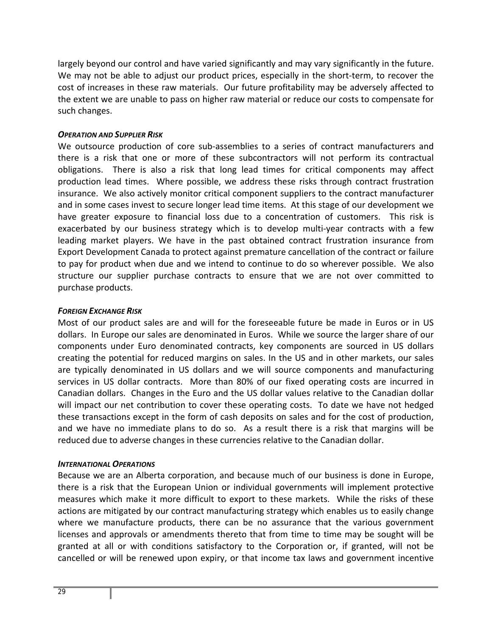largely beyond our control and have varied significantly and may vary significantly in the future. We may not be able to adjust our product prices, especially in the short-term, to recover the cost of increases in these raw materials. Our future profitability may be adversely affected to the extent we are unable to pass on higher raw material or reduce our costs to compensate for such changes.

## *OPERATION AND SUPPLIER RISK*

We outsource production of core sub-assemblies to a series of contract manufacturers and there is a risk that one or more of these subcontractors will not perform its contractual obligations. There is also a risk that long lead times for critical components may affect production lead times. Where possible, we address these risks through contract frustration insurance. We also actively monitor critical component suppliers to the contract manufacturer and in some cases invest to secure longer lead time items. At this stage of our development we have greater exposure to financial loss due to a concentration of customers. This risk is exacerbated by our business strategy which is to develop multi‐year contracts with a few leading market players. We have in the past obtained contract frustration insurance from Export Development Canada to protect against premature cancellation of the contract or failure to pay for product when due and we intend to continue to do so wherever possible. We also structure our supplier purchase contracts to ensure that we are not over committed to purchase products.

#### *FOREIGN EXCHANGE RISK*

Most of our product sales are and will for the foreseeable future be made in Euros or in US dollars. In Europe our sales are denominated in Euros. While we source the larger share of our components under Euro denominated contracts, key components are sourced in US dollars creating the potential for reduced margins on sales. In the US and in other markets, our sales are typically denominated in US dollars and we will source components and manufacturing services in US dollar contracts. More than 80% of our fixed operating costs are incurred in Canadian dollars. Changes in the Euro and the US dollar values relative to the Canadian dollar will impact our net contribution to cover these operating costs. To date we have not hedged these transactions except in the form of cash deposits on sales and for the cost of production, and we have no immediate plans to do so. As a result there is a risk that margins will be reduced due to adverse changes in these currencies relative to the Canadian dollar.

#### *INTERNATIONAL OPERATIONS*

Because we are an Alberta corporation, and because much of our business is done in Europe, there is a risk that the European Union or individual governments will implement protective measures which make it more difficult to export to these markets. While the risks of these actions are mitigated by our contract manufacturing strategy which enables us to easily change where we manufacture products, there can be no assurance that the various government licenses and approvals or amendments thereto that from time to time may be sought will be granted at all or with conditions satisfactory to the Corporation or, if granted, will not be cancelled or will be renewed upon expiry, or that income tax laws and government incentive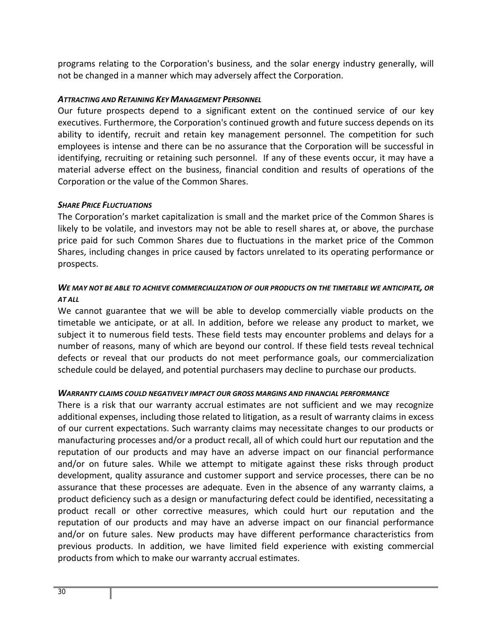programs relating to the Corporation's business, and the solar energy industry generally, will not be changed in a manner which may adversely affect the Corporation.

## *ATTRACTING AND RETAINING KEY MANAGEMENT PERSONNEL*

Our future prospects depend to a significant extent on the continued service of our key executives. Furthermore, the Corporation's continued growth and future success depends on its ability to identify, recruit and retain key management personnel. The competition for such employees is intense and there can be no assurance that the Corporation will be successful in identifying, recruiting or retaining such personnel. If any of these events occur, it may have a material adverse effect on the business, financial condition and results of operations of the Corporation or the value of the Common Shares.

## *SHARE PRICE FLUCTUATIONS*

The Corporation's market capitalization is small and the market price of the Common Shares is likely to be volatile, and investors may not be able to resell shares at, or above, the purchase price paid for such Common Shares due to fluctuations in the market price of the Common Shares, including changes in price caused by factors unrelated to its operating performance or prospects.

## *WE MAY NOT BE ABLE TO ACHIEVE COMMERCIALIZATION OF OUR PRODUCTS ON THE TIMETABLE WE ANTICIPATE, OR AT ALL*

We cannot guarantee that we will be able to develop commercially viable products on the timetable we anticipate, or at all. In addition, before we release any product to market, we subject it to numerous field tests. These field tests may encounter problems and delays for a number of reasons, many of which are beyond our control. If these field tests reveal technical defects or reveal that our products do not meet performance goals, our commercialization schedule could be delayed, and potential purchasers may decline to purchase our products.

## *WARRANTY CLAIMS COULD NEGATIVELY IMPACT OUR GROSS MARGINS AND FINANCIAL PERFORMANCE*

There is a risk that our warranty accrual estimates are not sufficient and we may recognize additional expenses, including those related to litigation, as a result of warranty claims in excess of our current expectations. Such warranty claims may necessitate changes to our products or manufacturing processes and/or a product recall, all of which could hurt our reputation and the reputation of our products and may have an adverse impact on our financial performance and/or on future sales. While we attempt to mitigate against these risks through product development, quality assurance and customer support and service processes, there can be no assurance that these processes are adequate. Even in the absence of any warranty claims, a product deficiency such as a design or manufacturing defect could be identified, necessitating a product recall or other corrective measures, which could hurt our reputation and the reputation of our products and may have an adverse impact on our financial performance and/or on future sales. New products may have different performance characteristics from previous products. In addition, we have limited field experience with existing commercial products from which to make our warranty accrual estimates.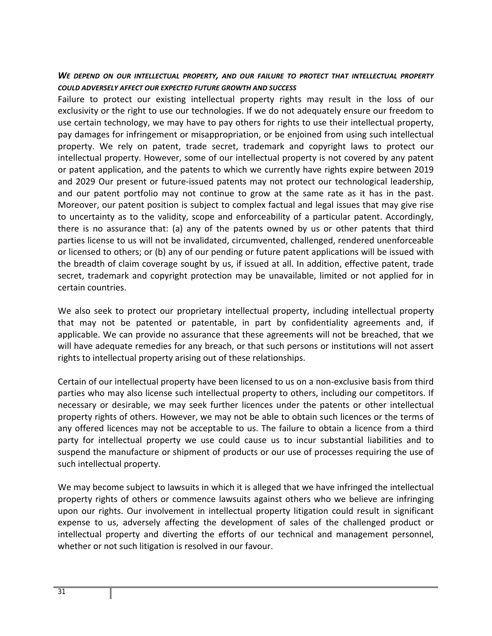## *WE DEPEND ON OUR INTELLECTUAL PROPERTY, AND OUR FAILURE TO PROTECT THAT INTELLECTUAL PROPERTY COULD ADVERSELY AFFECT OUR EXPECTED FUTURE GROWTH AND SUCCESS*

Failure to protect our existing intellectual property rights may result in the loss of our exclusivity or the right to use our technologies. If we do not adequately ensure our freedom to use certain technology, we may have to pay others for rights to use their intellectual property, pay damages for infringement or misappropriation, or be enjoined from using such intellectual property. We rely on patent, trade secret, trademark and copyright laws to protect our intellectual property. However, some of our intellectual property is not covered by any patent or patent application, and the patents to which we currently have rights expire between 2019 and 2029 Our present or future‐issued patents may not protect our technological leadership, and our patent portfolio may not continue to grow at the same rate as it has in the past. Moreover, our patent position is subject to complex factual and legal issues that may give rise to uncertainty as to the validity, scope and enforceability of a particular patent. Accordingly, there is no assurance that: (a) any of the patents owned by us or other patents that third parties license to us will not be invalidated, circumvented, challenged, rendered unenforceable or licensed to others; or (b) any of our pending or future patent applications will be issued with the breadth of claim coverage sought by us, if issued at all. In addition, effective patent, trade secret, trademark and copyright protection may be unavailable, limited or not applied for in certain countries.

We also seek to protect our proprietary intellectual property, including intellectual property that may not be patented or patentable, in part by confidentiality agreements and, if applicable. We can provide no assurance that these agreements will not be breached, that we will have adequate remedies for any breach, or that such persons or institutions will not assert rights to intellectual property arising out of these relationships.

Certain of our intellectual property have been licensed to us on a non‐exclusive basis from third parties who may also license such intellectual property to others, including our competitors. If necessary or desirable, we may seek further licences under the patents or other intellectual property rights of others. However, we may not be able to obtain such licences or the terms of any offered licences may not be acceptable to us. The failure to obtain a licence from a third party for intellectual property we use could cause us to incur substantial liabilities and to suspend the manufacture or shipment of products or our use of processes requiring the use of such intellectual property.

We may become subject to lawsuits in which it is alleged that we have infringed the intellectual property rights of others or commence lawsuits against others who we believe are infringing upon our rights. Our involvement in intellectual property litigation could result in significant expense to us, adversely affecting the development of sales of the challenged product or intellectual property and diverting the efforts of our technical and management personnel, whether or not such litigation is resolved in our favour.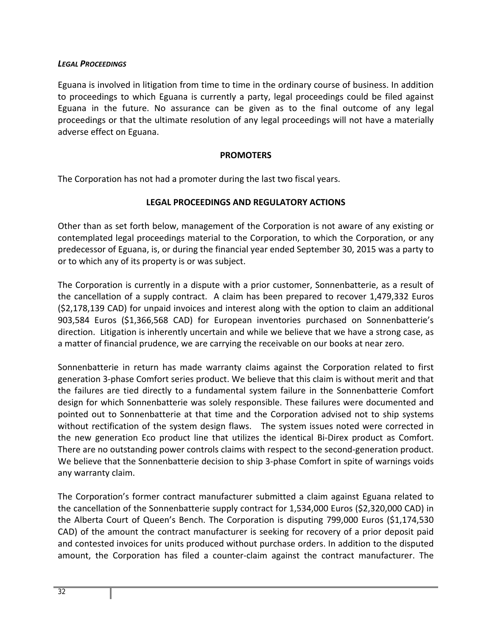#### *LEGAL PROCEEDINGS*

Eguana is involved in litigation from time to time in the ordinary course of business. In addition to proceedings to which Eguana is currently a party, legal proceedings could be filed against Eguana in the future. No assurance can be given as to the final outcome of any legal proceedings or that the ultimate resolution of any legal proceedings will not have a materially adverse effect on Eguana.

#### **PROMOTERS**

The Corporation has not had a promoter during the last two fiscal years.

## **LEGAL PROCEEDINGS AND REGULATORY ACTIONS**

Other than as set forth below, management of the Corporation is not aware of any existing or contemplated legal proceedings material to the Corporation, to which the Corporation, or any predecessor of Eguana, is, or during the financial year ended September 30, 2015 was a party to or to which any of its property is or was subject.

The Corporation is currently in a dispute with a prior customer, Sonnenbatterie, as a result of the cancellation of a supply contract. A claim has been prepared to recover 1,479,332 Euros (\$2,178,139 CAD) for unpaid invoices and interest along with the option to claim an additional 903,584 Euros (\$1,366,568 CAD) for European inventories purchased on Sonnenbatterie's direction. Litigation is inherently uncertain and while we believe that we have a strong case, as a matter of financial prudence, we are carrying the receivable on our books at near zero.

Sonnenbatterie in return has made warranty claims against the Corporation related to first generation 3‐phase Comfort series product. We believe that this claim is without merit and that the failures are tied directly to a fundamental system failure in the Sonnenbatterie Comfort design for which Sonnenbatterie was solely responsible. These failures were documented and pointed out to Sonnenbatterie at that time and the Corporation advised not to ship systems without rectification of the system design flaws. The system issues noted were corrected in the new generation Eco product line that utilizes the identical Bi‐Direx product as Comfort. There are no outstanding power controls claims with respect to the second-generation product. We believe that the Sonnenbatterie decision to ship 3-phase Comfort in spite of warnings voids any warranty claim.

The Corporation's former contract manufacturer submitted a claim against Eguana related to the cancellation of the Sonnenbatterie supply contract for 1,534,000 Euros (\$2,320,000 CAD) in the Alberta Court of Queen's Bench. The Corporation is disputing 799,000 Euros (\$1,174,530 CAD) of the amount the contract manufacturer is seeking for recovery of a prior deposit paid and contested invoices for units produced without purchase orders. In addition to the disputed amount, the Corporation has filed a counter‐claim against the contract manufacturer. The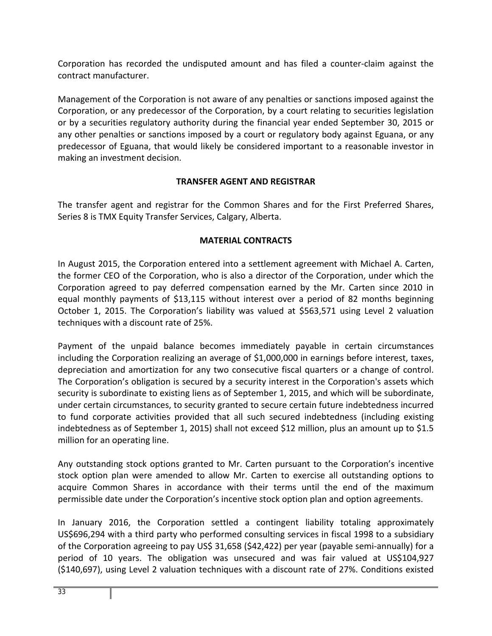Corporation has recorded the undisputed amount and has filed a counter‐claim against the contract manufacturer.

Management of the Corporation is not aware of any penalties or sanctions imposed against the Corporation, or any predecessor of the Corporation, by a court relating to securities legislation or by a securities regulatory authority during the financial year ended September 30, 2015 or any other penalties or sanctions imposed by a court or regulatory body against Eguana, or any predecessor of Eguana, that would likely be considered important to a reasonable investor in making an investment decision.

## **TRANSFER AGENT AND REGISTRAR**

The transfer agent and registrar for the Common Shares and for the First Preferred Shares, Series 8 is TMX Equity Transfer Services, Calgary, Alberta.

## **MATERIAL CONTRACTS**

In August 2015, the Corporation entered into a settlement agreement with Michael A. Carten, the former CEO of the Corporation, who is also a director of the Corporation, under which the Corporation agreed to pay deferred compensation earned by the Mr. Carten since 2010 in equal monthly payments of \$13,115 without interest over a period of 82 months beginning October 1, 2015. The Corporation's liability was valued at \$563,571 using Level 2 valuation techniques with a discount rate of 25%.

Payment of the unpaid balance becomes immediately payable in certain circumstances including the Corporation realizing an average of \$1,000,000 in earnings before interest, taxes, depreciation and amortization for any two consecutive fiscal quarters or a change of control. The Corporation's obligation is secured by a security interest in the Corporation's assets which security is subordinate to existing liens as of September 1, 2015, and which will be subordinate, under certain circumstances, to security granted to secure certain future indebtedness incurred to fund corporate activities provided that all such secured indebtedness (including existing indebtedness as of September 1, 2015) shall not exceed \$12 million, plus an amount up to \$1.5 million for an operating line.

Any outstanding stock options granted to Mr. Carten pursuant to the Corporation's incentive stock option plan were amended to allow Mr. Carten to exercise all outstanding options to acquire Common Shares in accordance with their terms until the end of the maximum permissible date under the Corporation's incentive stock option plan and option agreements.

In January 2016, the Corporation settled a contingent liability totaling approximately US\$696,294 with a third party who performed consulting services in fiscal 1998 to a subsidiary of the Corporation agreeing to pay US\$ 31,658 (\$42,422) per year (payable semi‐annually) for a period of 10 years. The obligation was unsecured and was fair valued at US\$104,927 (\$140,697), using Level 2 valuation techniques with a discount rate of 27%. Conditions existed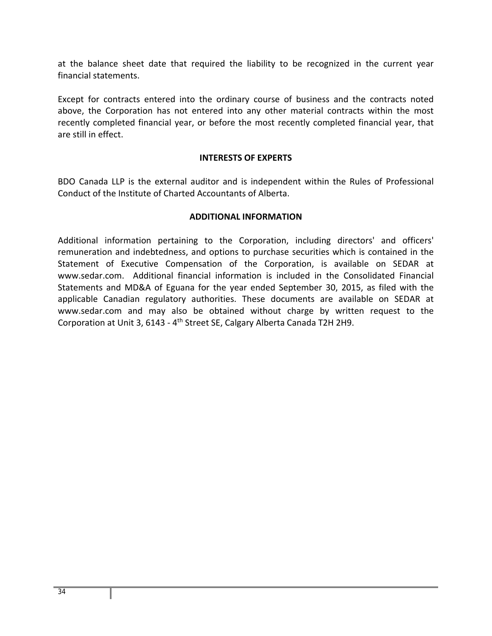at the balance sheet date that required the liability to be recognized in the current year financial statements.

Except for contracts entered into the ordinary course of business and the contracts noted above, the Corporation has not entered into any other material contracts within the most recently completed financial year, or before the most recently completed financial year, that are still in effect.

## **INTERESTS OF EXPERTS**

BDO Canada LLP is the external auditor and is independent within the Rules of Professional Conduct of the Institute of Charted Accountants of Alberta.

## **ADDITIONAL INFORMATION**

Additional information pertaining to the Corporation, including directors' and officers' remuneration and indebtedness, and options to purchase securities which is contained in the Statement of Executive Compensation of the Corporation, is available on SEDAR at www.sedar.com. Additional financial information is included in the Consolidated Financial Statements and MD&A of Eguana for the year ended September 30, 2015, as filed with the applicable Canadian regulatory authorities. These documents are available on SEDAR at www.sedar.com and may also be obtained without charge by written request to the Corporation at Unit 3, 6143 ‐ 4th Street SE, Calgary Alberta Canada T2H 2H9.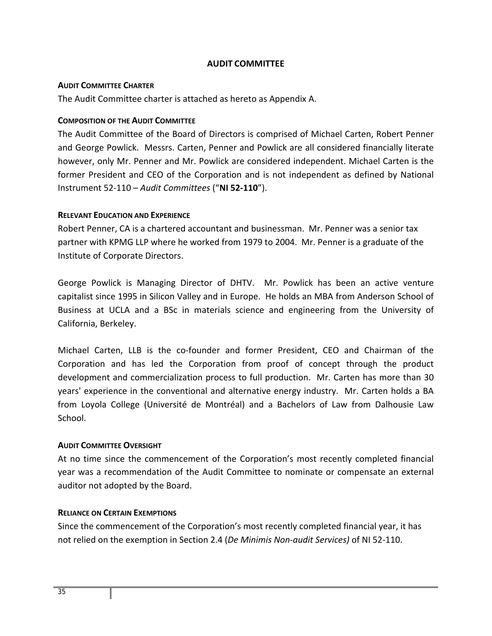## **AUDIT COMMITTEE**

#### **AUDIT COMMITTEE CHARTER**

The Audit Committee charter is attached as hereto as Appendix A.

#### **COMPOSITION OF THE AUDIT COMMITTEE**

The Audit Committee of the Board of Directors is comprised of Michael Carten, Robert Penner and George Powlick. Messrs. Carten, Penner and Powlick are all considered financially literate however, only Mr. Penner and Mr. Powlick are considered independent. Michael Carten is the former President and CEO of the Corporation and is not independent as defined by National Instrument 52‐110 – *Audit Committees* ("**NI 52‐110**").

#### **RELEVANT EDUCATION AND EXPERIENCE**

Robert Penner, CA is a chartered accountant and businessman. Mr. Penner was a senior tax partner with KPMG LLP where he worked from 1979 to 2004. Mr. Penner is a graduate of the Institute of Corporate Directors.

George Powlick is Managing Director of DHTV. Mr. Powlick has been an active venture capitalist since 1995 in Silicon Valley and in Europe. He holds an MBA from Anderson School of Business at UCLA and a BSc in materials science and engineering from the University of California, Berkeley.

Michael Carten, LLB is the co-founder and former President, CEO and Chairman of the Corporation and has led the Corporation from proof of concept through the product development and commercialization process to full production. Mr. Carten has more than 30 years' experience in the conventional and alternative energy industry. Mr. Carten holds a BA from Loyola College (Université de Montréal) and a Bachelors of Law from Dalhousie Law School.

## **AUDIT COMMITTEE OVERSIGHT**

At no time since the commencement of the Corporation's most recently completed financial year was a recommendation of the Audit Committee to nominate or compensate an external auditor not adopted by the Board.

## **RELIANCE ON CERTAIN EXEMPTIONS**

Since the commencement of the Corporation's most recently completed financial year, it has not relied on the exemption in Section 2.4 (*De Minimis Non‐audit Services)* of NI 52‐110.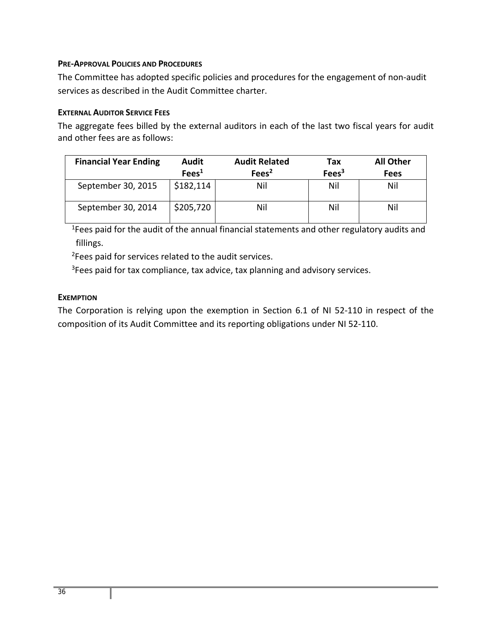## **PRE‐APPROVAL POLICIES AND PROCEDURES**

The Committee has adopted specific policies and procedures for the engagement of non‐audit services as described in the Audit Committee charter.

## **EXTERNAL AUDITOR SERVICE FEES**

The aggregate fees billed by the external auditors in each of the last two fiscal years for audit and other fees are as follows:

| <b>Financial Year Ending</b> | <b>Audit</b>      | <b>Audit Related</b> | Tax               | <b>All Other</b> |
|------------------------------|-------------------|----------------------|-------------------|------------------|
|                              | Fees <sup>1</sup> | Fees <sup>2</sup>    | Fees <sup>3</sup> | <b>Fees</b>      |
| September 30, 2015           | \$182,114         | Nil                  | Nil               | Nil              |
| September 30, 2014           | \$205,720         | Nil                  | Nil               | Nil              |

<sup>1</sup>Fees paid for the audit of the annual financial statements and other regulatory audits and fillings.

<sup>2</sup>Fees paid for services related to the audit services.

<sup>3</sup>Fees paid for tax compliance, tax advice, tax planning and advisory services.

## **EXEMPTION**

The Corporation is relying upon the exemption in Section 6.1 of NI 52-110 in respect of the composition of its Audit Committee and its reporting obligations under NI 52‐110.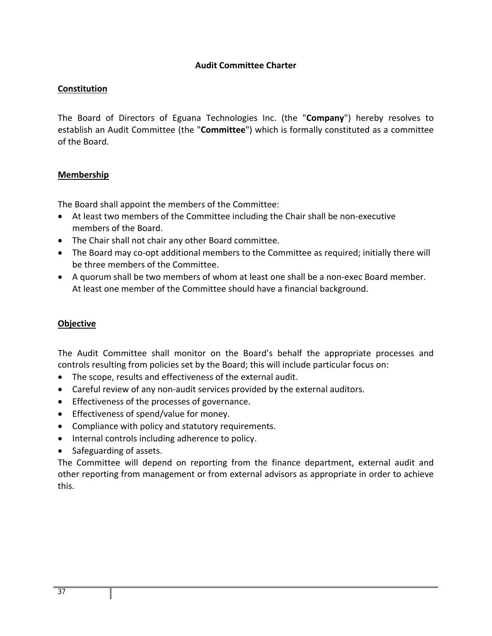## **Audit Committee Charter**

## **Constitution**

The Board of Directors of Eguana Technologies Inc. (the "**Company**") hereby resolves to establish an Audit Committee (the "**Committee**") which is formally constituted as a committee of the Board.

## **Membership**

The Board shall appoint the members of the Committee:

- At least two members of the Committee including the Chair shall be non-executive members of the Board.
- The Chair shall not chair any other Board committee.
- The Board may co-opt additional members to the Committee as required; initially there will be three members of the Committee.
- A quorum shall be two members of whom at least one shall be a non‐exec Board member. At least one member of the Committee should have a financial background.

## **Objective**

The Audit Committee shall monitor on the Board's behalf the appropriate processes and controls resulting from policies set by the Board; this will include particular focus on:

- The scope, results and effectiveness of the external audit.
- Careful review of any non-audit services provided by the external auditors.
- **•** Effectiveness of the processes of governance.
- Effectiveness of spend/value for money.
- Compliance with policy and statutory requirements.
- Internal controls including adherence to policy.
- Safeguarding of assets.

The Committee will depend on reporting from the finance department, external audit and other reporting from management or from external advisors as appropriate in order to achieve this.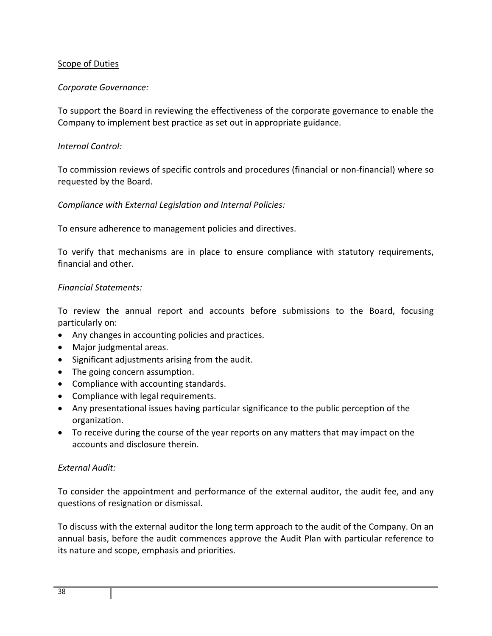## Scope of Duties

## *Corporate Governance:*

To support the Board in reviewing the effectiveness of the corporate governance to enable the Company to implement best practice as set out in appropriate guidance.

## *Internal Control:*

To commission reviews of specific controls and procedures (financial or non‐financial) where so requested by the Board.

## *Compliance with External Legislation and Internal Policies:*

To ensure adherence to management policies and directives.

To verify that mechanisms are in place to ensure compliance with statutory requirements, financial and other.

## *Financial Statements:*

To review the annual report and accounts before submissions to the Board, focusing particularly on:

- Any changes in accounting policies and practices.
- Major judgmental areas.
- Significant adjustments arising from the audit.
- The going concern assumption.
- Compliance with accounting standards.
- Compliance with legal requirements.
- Any presentational issues having particular significance to the public perception of the organization.
- To receive during the course of the year reports on any matters that may impact on the accounts and disclosure therein.

## *External Audit:*

To consider the appointment and performance of the external auditor, the audit fee, and any questions of resignation or dismissal.

To discuss with the external auditor the long term approach to the audit of the Company. On an annual basis, before the audit commences approve the Audit Plan with particular reference to its nature and scope, emphasis and priorities.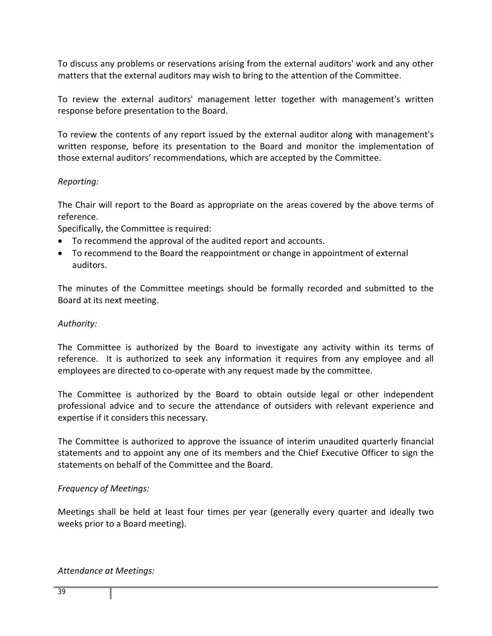To discuss any problems or reservations arising from the external auditors' work and any other matters that the external auditors may wish to bring to the attention of the Committee.

To review the external auditors' management letter together with management's written response before presentation to the Board.

To review the contents of any report issued by the external auditor along with management's written response, before its presentation to the Board and monitor the implementation of those external auditors' recommendations, which are accepted by the Committee.

## *Reporting:*

The Chair will report to the Board as appropriate on the areas covered by the above terms of reference.

Specifically, the Committee is required:

- To recommend the approval of the audited report and accounts.
- To recommend to the Board the reappointment or change in appointment of external auditors.

The minutes of the Committee meetings should be formally recorded and submitted to the Board at its next meeting.

## *Authority:*

The Committee is authorized by the Board to investigate any activity within its terms of reference. It is authorized to seek any information it requires from any employee and all employees are directed to co-operate with any request made by the committee.

The Committee is authorized by the Board to obtain outside legal or other independent professional advice and to secure the attendance of outsiders with relevant experience and expertise if it considers this necessary.

The Committee is authorized to approve the issuance of interim unaudited quarterly financial statements and to appoint any one of its members and the Chief Executive Officer to sign the statements on behalf of the Committee and the Board.

## *Frequency of Meetings:*

Meetings shall be held at least four times per year (generally every quarter and ideally two weeks prior to a Board meeting).

## *Attendance at Meetings:*